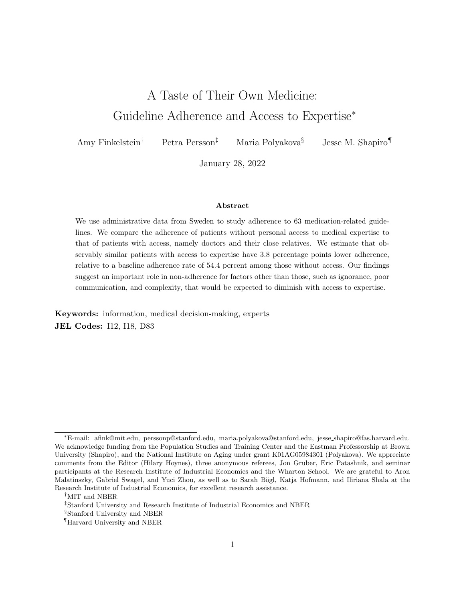# A Taste of Their Own Medicine: Guideline Adherence and Access to Expertise<sup>∗</sup>

Amy Finkelstein† Petra Persson‡ Maria Polyakova§ Jesse M. Shapiro¶

January 28, 2022

#### Abstract

We use administrative data from Sweden to study adherence to 63 medication-related guidelines. We compare the adherence of patients without personal access to medical expertise to that of patients with access, namely doctors and their close relatives. We estimate that observably similar patients with access to expertise have 3.8 percentage points lower adherence, relative to a baseline adherence rate of 54.4 percent among those without access. Our findings suggest an important role in non-adherence for factors other than those, such as ignorance, poor communication, and complexity, that would be expected to diminish with access to expertise.

Keywords: information, medical decision-making, experts JEL Codes: I12, I18, D83

<sup>∗</sup>E-mail: afink@mit.edu, perssonp@stanford.edu, maria.polyakova@stanford.edu, jesse shapiro@fas.harvard.edu. We acknowledge funding from the Population Studies and Training Center and the Eastman Professorship at Brown University (Shapiro), and the National Institute on Aging under grant K01AG05984301 (Polyakova). We appreciate comments from the Editor (Hilary Hoynes), three anonymous referees, Jon Gruber, Eric Patashnik, and seminar participants at the Research Institute of Industrial Economics and the Wharton School. We are grateful to Aron Malatinszky, Gabriel Swagel, and Yuci Zhou, as well as to Sarah Bögl, Katja Hofmann, and Iliriana Shala at the Research Institute of Industrial Economics, for excellent research assistance.

<sup>†</sup>MIT and NBER

<sup>‡</sup>Stanford University and Research Institute of Industrial Economics and NBER

<sup>§</sup>Stanford University and NBER

<sup>¶</sup>Harvard University and NBER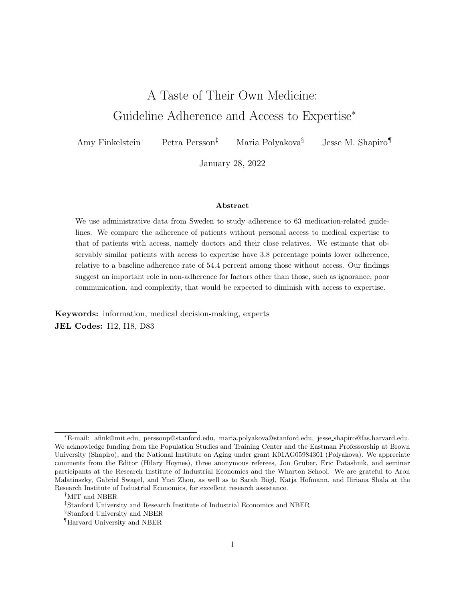## 1 Introduction

Widespread non-adherence to medical guidelines is believed to contribute to a large amount of hospitalizations, deaths, and health care spending each year (Fonarow et al. 2011; Neiman 2017). The causes of non-adherence are the subject of signi cant academic and policy interest (Lopez-Vazquez et al. 2012; Neiman 2017; Hyun 2017). Some of the prominent explanations include patient or provider ignorance, guideline complexity, and lack of trust or communication in the patient-provider relationship (Alpert 2010; Bosworth 2012; Neiman 2017; Aslani et al. 2019).

Such explanations motivate speci c policy interventions, such as attempts to simplify treatment regimes or disseminate information to patients or practitioners (McDonald et al. 2002; Krueger et al. 2005; Brown and Bussell 2011; Irwin et al. 2014; Nieuwlaat et al. 2014; Fischer et al. 2016; van Driel et al. 2016). They also suggest the testable implication that patients with greater access to medical expertise will tend to be more adherent, since they are likely to be better informed, better able to make decisions, and better able to communicate with their medical providers.

We nd that the opposite holds. Speci cally, we study the relationship between a patient's adherence to medication guidelines and whether the patient has personal access to medical expertise, dened as being a doctor or having one in the close family. To do so, we assemble administrative data on the entire population of Sweden from 2005 through 2016 and use it to measure adherence to 63 government-issued prescription drug guidelines. These include 6 guidelines related to antibiotics (e.g., children should start with a narrower- rather than a broader-spectrum antibiotic to combat a respiratory tract infection), 20 guidelines specic to the elderly (e.g., avoid certain sleep medications), 20 guidelines related to specic diagnoses (e.g., take statins after a heart attack), and 17 guidelines on medication use during pregnancy (e.g., avoid certain antidepressants).

We use information on a person's completed education to determine if they are a doctor, and we link doctors to their relatives using a population register. In our baseline analysis, we classify

<sup>&</sup>lt;sup>1</sup>For example, only a minority of patients adhere to the recommendation to take high-intensity statins following a heart attack (Colantonio et al. 2017; Neiman 2017), and many physicians depart from expert guidance on antibiotic prescribing (Lopez-Vazquez et al. 2012; Fleming-Dutra et al. 2016).

<sup>&</sup>lt;sup>2</sup> Other explanations include nancial barriers (Gellad et al. 2009; Choudhry et al. 2011; Bosworth 2012) and behavioral biases (Baicker et al. 2015), both of which may be more important for disadvantaged populations (Mullainathan and Shar 2013 pp. 157, 231; Aslani et al. 2019).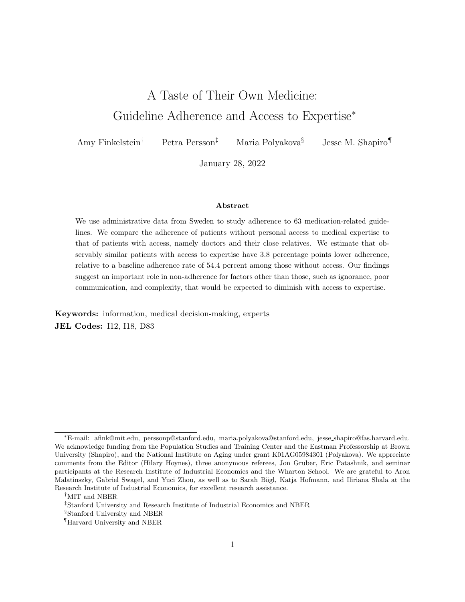a patient as having access to medical expertise if the patient, the patient's partner, or any of the patient's parents or children is a doctor. For each of the 63 guidelines, we narrow in on the set of patients who, based on their health conditions, prior prescription claiming, and demographics, are covered by the guideline; within this risk set, we examine dierences in adherence between those with and without access to expertise.

Adherence to the guidelines we study requires the compliance of both the provider (to prescribe or not prescribe some medication) and the patient (to take or not take some medication). Because of Sweden's universal health insurance, nancial barriers to adherence are likely minimal; patients face limited cost-sharing for medical treatments or prescription drugs (Swedish Dental and Pharmaceutical Bene ts Agency 2020).

We nd that access to expertise is generally associated with less adherence to guidelines. Among the 63 guidelines that we study, and controlling for demographics, income, and education, the association between access to expertise and adherence is negative in 41 cases and statistically signicant in 20 of those. Since the share of the population covered by any given guideline can vary by up to three orders of magnitude, we summarize these ndings by averaging them across guidelines, weighting each guideline by the prevalence of its risk set in the population. We estimate that while the average patient without access to expertise adheres to guidelines 54.4 percent of the time, one with access to expertise adheres only 50.6 percent, a 3.8 percentage point lower adherence rate. The 95 percent condence interval includes a 4.1 to 3.5 percentage point lower adherence rate for those with access to expertise. The education and income controls in our baseline specication strengthen the negative association between adherence and access to expertise. Relative to our baseline, the association also becomes more negative if we narrow the de nition of access to include only being a doctor oneself. It becomes less negative|but remains negative and statistically signi cantlif we broaden the de nition of access to expertise to include having a doctor in the extended rather than just close family, or to include having nurses and pharmacists in the close family.

We consider several explanations for the negative association between guideline adherence and access to expertise. We rst consider a potential role for unobserved socioeconomic or health

3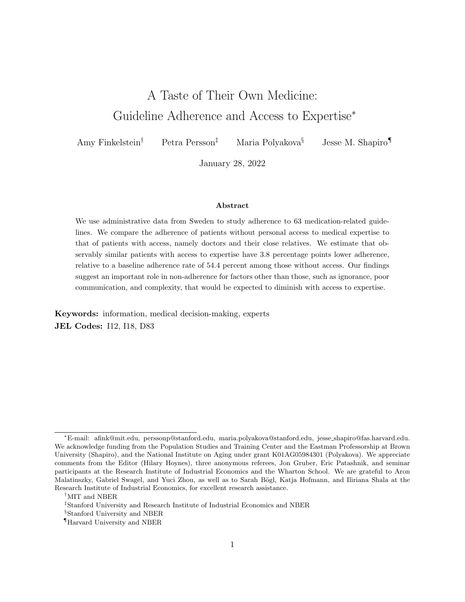dierences between those with and without access to expertise, but nd little evidence to suggest these dierences explain the association. We next consider the possibility that access to expertise is associated with greater comfort with pharmaceutical solutions to medical problems, or, relatedly, greater access to pharmaceuticals. We nd some evidence consistent with this hypothesis: access to expertise is associated with greater use of prescription medications. However, we nd that the negative association between adherence and access to expertise is similar for guidelines to take a particular medication and guidelines to avoid one, which is not consistent with an explanation based solely on relative comfort with, or access to, pharmaceuticals.

The last possibility we consider is that access to expertise gives patients information or con dence that prompts them to disregard guidelines that they do not perceive to be in their clinical interest. Several pieces of evidence suggest that this mechanism is at play. One is that the adherence gap between those with and without access to expertise is greater for guidelines with weaker clinical support, although it remains negative and statistically signi cant even for those with stronger support. Among pregnant women, access to expertise is less negatively associated with adherence for guidelines recommending against drugs classied in category D (which are contraindicated in pregnancy), than guidelines recommending against drugs in category C (which are to be used only when clearly needed). Likewise, the association between adherence and access to expertise is marginally more negative for guidelines rated by the evidence-based clinical resource UpToDate as based on weaker evidence compared to those rated as having stronger evidence, although here the dierence is not statistically distinguishable. Another piece of evidence is that, while the association between access to expertise and adherence is negative for each of the major categories of guidelines we consider, it is most negative for guidelines regarding the appropriate use of antibiotics, which are designed to promote public health rather than the narrow interest of the patient.

Our ndings contribute to a large literature comparing the medical decisions of practitioners and their families to those of the general population. Comparisons have included preventive health behavior (Glanz et al. 1982), treatment decisions and outcomes (Bunker and Brown 1974; Ubel et al. 2011; Chen et al. 2020), end-of-life care (Gramelspacher et al. 1997; Weissman et al. 2016; Wunsch et al. 2019), and use of Cesarean sections (Chou et al. 2006; Grytten et al. 2011; Johnson

4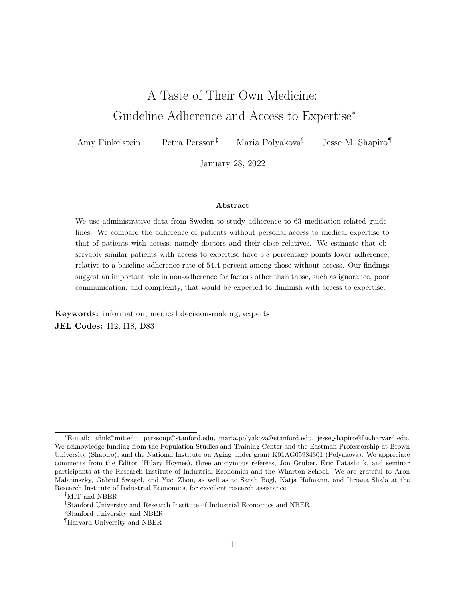and Rehavi 2016). A related literature compares the health outcomes of doctors and their families to those of the general population (Leuven et al. 2013; Artmann et al. forthcoming; Chen et al. forthcoming).

Most closely related to our paper, Frakes et al. (2021) compare the propensity to use several types of low-value and high-value medical care (as dened by the health policy community) between military physicians and other U.S. military personnel. They nd that physicians are only slightly more likely to avoid low-value care or engage in high-value care than non-physicians, and conclude that policies aimed at improving patients' information and medical knowledge would therefore do little to a ect adherence.  $3$  Our ndings reinforce this conclusion in a di erent setting (and focusing on dierent types of guidelines) by showing that doctors and their families tend to be less adherent to guidelines, even those backed by strong evidence.

More broadly, our paper contributes to a literature comparing expert and non-expert behavior in contexts such as consumer purchases (Bronnenberg et al. 2015), real estate (Rutherford et al. 2005; Levitt and Syverson 2008), household nance (Bodnaruk and Simonov 2015), and health insurance (Handel and Kolstad 2015). Some of this literature treats the behavior of informed individuals as a normative benchmark of optimal behavior. It is unclear whether this perspective is appropriate in our context. Medication guidelines represent broad \rules of thumb" that may not apply in all circumstances. It is possible that the care of more informed patients is guided by clinically relevant knowledge that is not used in the care of less informed patients, and that the more informed may benet from their greater departures from guidelines. However, consistent with recent evidence that practitioners' departures from prescribing guidelines lead to worse patient outcomes (Currie and MacLeod 2020; Abaluck et al. 2020; Cuddy and Currie 2020), it is also possible that more informed patients are overcon dent or otherwise mistaken in deviating from guidelines<sup>4</sup>.

<sup>&</sup>lt;sup>3</sup>Relatedly, Abaluck et al. (2020) use data from clinical notes to argue that most departures from clinical guidelines do not stem from practitioners' lack of awareness of these guidelines.

<sup>4</sup>Alpert (2010), for example, argues that evidence-based \guideline-directed therapy for a particular condition has been shown to lead to better clinical outcomes compared with `eminence-based,' personally derived, therapeutic strategies."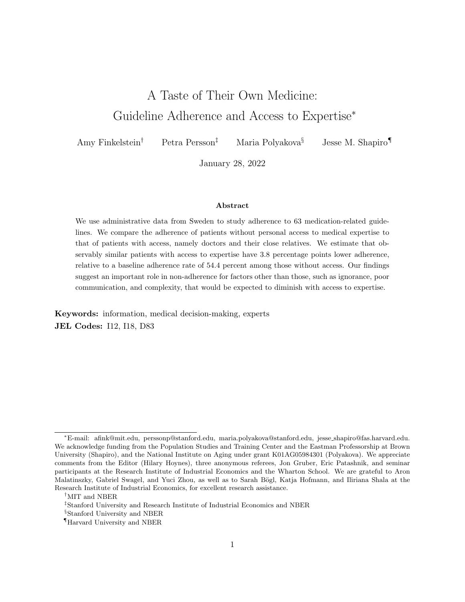## 2 Data

#### 2.1 Population and Characteristics

The backbone of our data is an extract from the Swedish Population Register of all individuals residing in Sweden from 2000 through 2016 (Skatteverket n.d.). For each individual, we observe information about their biological parents, which allows us to link any given individual to their grandparents, parents, siblings, children, cousins, aunts, uncles, nieces, nephews, and grandchildren. We are also able to link individuals to their spouses using marital records and to cohabiting partners using information about addresses and shared biological children. Hereafter, we refer to a person's spouse or cohabiting partner as the person's partner.

We merge these data to Statistics Sweden's longitudinal database of individuals (LISA) from 1990 through 2016, which contains information drawn from various administrative records (Statistics Sweden n.d.). From the education records we obtain information on each individual's highest completed degree in each calendar year. We de ne an individual as a doctor if their highest degree is a medical degree, taking the most recent degree in cases of multiple higher-level degrees. We dene other specialized occupations analogously.

We de ne an individual as having access to medical expertise in a given year if the individual, the individual's partner, or any of the individual's parents or children is a doctor. We sometimes use a broader de nition of access which also includes having a doctor in the extended family (i.e., among the individual's grandparents, siblings, cousins, aunts, uncles, nieces, nephews, grandchildren, or partner's parents). We de ne the presence of other occupations (e.g., nurses, pharmacists) in the family analogously.

We also use LISA to de ne control variables. From the location records, we construct a categorical variable indicating the individual's municipality (kommun) of residence as of the preceding year, using the mother's municipality for those age 17 and under. From the education records, we construct a categorical variable indicating the individual's highest level of completed schooling (i.e., no college, some college, completed college) as of the preceding year, using the mother's schooling for those age 26 and under. Finally, from the tax records, we de ne a measure of pre-transfer in-

6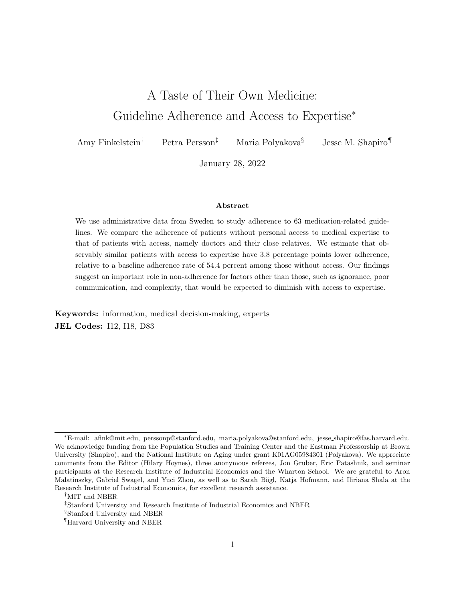come for each individual and year, using the average of parents' nonmissing income for individuals age 26 and under and using income as of age 60 for those over 60. We compute the percentile rank of each individual's income in the preceding year, among those of the same gender and birth cohort who had strictly positive income.

## 2.2 Medical Records

We link the data from Statistics Sweden to health records from the National Board of Health and Welfare (Socialstyrelsen 2019), which we hereafter call the Board. For each individual, we observe the universe of prescription drug purchases made in outpatient pharmacies from July 2005 through 2017. For each purchase, we observe the name of the drug and the drug's seven-digit Anatomical Therapeutic Chemical (ATC) classication code. We do not observe unlled prescriptions, and we do not observe identifying information for the provider who wrote the prescription.

We observe the universe of inpatient hospital visits, outpatient visits (excluding those for primary care and pre-natal care), and births from 2005 through 2016. For each visit, we observe the date of the visit and the diagnosis codes (ICD-10) attached to the visit. For each birth, we infer the date of conception (by subtracting 280 days from the due date), and the date the pregnancy ended (by adding the gestational age at birth to the date of conception). To form control variables for sensitivity analysis, we follow Chen et al. (forthcoming) and de ne separate indicators for whether an individual had a heart attack, heart failure, lung cancer, Type II diabetes, or asthma diagnosis in any preceding year.

### 2.3 Prescription Drug Guidelines

Multiple government agencies promulgate medical guidelines in Sweden. We focus on the subset of guidelines that are for prescription drugs because we are best able to measure adherence for these guidelines. We consider two types of guidelines.

The rst type are guidelines issued by the Board, a government organization that issues national guidelines for treatment of various diseases. These guidelines are written by panels of physicians appointed by the Board. The government tracks adherence to the guidelines as a mechanism for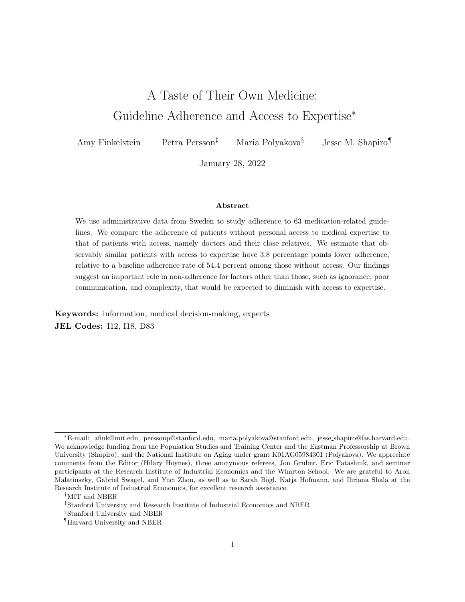improving quality of care, but does not insist that practitioners follow the guidelines. In October of 2019, we identied 93 active guidelines pertaining to prescription drugs that had been issued by the Board.<sup>5</sup> We analyze the 46 of these for which we can measure adherence in our data.

The second type are guidelines covering the use of prescription drugs in pregnancy. The potential for a drug to harm fetal development is re
ected in a letter grade classication (A, B, C, or D) (Danielsson and Dencker 2019). These classications are in turn based on text selected by the drug manufacturer from a standardized set of options provided by the EU (Electronic Medicines Compendium 2017). Sweden's pharmaceutical database (FASS) classies a drug as D-class if the selected text says that the drug is \contraindicated during pregnancy" and as C-class if the text says the drug \has harmful pharmacological eects on pregnancy and/or the fetus/newborn" and \should be used during pregnancy only when clearly needed.<sup>"</sup> We obtained information on which drugs had C and D classications in Sweden in March 2019. We dene one guideline for each of the 10 categories of C-class drugs (e.g., C-class opioids) and one for each of the 5 categories of D-class drugs (e.g., D-class tetracyclines, a type of antibiotic) most frequently purchased by women in our data during the six months before conception. We also de ne one guideline for all other C-class drugs, and one for all other D-class drugs, yielding a total of 17 pregnancy-related guidelines.

We group guidelines into one of four mutually exclusive and exhaustive categories: 6 guidelines covering the use of antibiotics, 20 covering medication use speci cally by the elderly (de ned as those age 75 and older), 20 covering medication use following specic diagnoses, and 17 covering medication use in pregnancy. Appendix Tables  $1/4$  provide additional details on the quidelines in each of these four groups, as well as their classication along two additional dimensions.

First, we classify a subset of guidelines according to whether they recommend against taking a particular drug or class of drugs (\don't take" guidelines) or in favor of taking a particular drug or

<sup>5</sup>We obtained this information from Sveriges Kommuner och Regioner (2019, sections on Indikatorer / indicators and Lakemedelsbehandling / drug treatment) and Socialstyrelsen (2010).

 $6$ We exclude those that rely on special drug registries unavailable to us (38 guidelines), do not have a clear direction or target value (5 guidelines), or track dosage rather than type of medication (4 guidelines).

 $7B$ -class drugs include those whose text indicates that prescribing during pregnancy should be done \only when clearly needed." A-class drugs include those whose text indicates that prescribing during pregnancy should be done \with caution" or that the drug \can be used during pregnancy." See Danielsson and Dencker (2019). Translations via GoogleTranslate.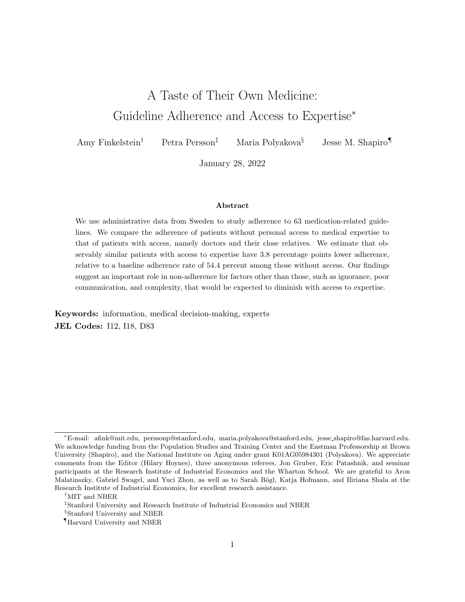class of drugs ( $\dot{\alpha}$  take" guidelines).<sup>8</sup> Adherence to  $\dot{\alpha}$  take" guidelines requires the compliance of both the provider (to prescribe the medication) and the patient (to ll the prescription). Adherence to \don't take" guidelines requires the compliance of either the provider (not to prescribe the medication) or the patient (not to II the prescription).

Second, we classify a subset of guidelines according to the strength of the evidence underlying them. For guidelines covering medication use in pregnancy, we do this by distinguishing between C-class and D-class drugs. For other guidelines, we do this by determining whether UpToDate gives the guideline a 1A rating|its strongest recommendation based on the highest possible quality of evidencelor not.<sup>9</sup>

## 2.4 Measuring Adherence

To measure adherence to each prescription drug guideline, we rst de ne the circumstance under which the guideline applies. We consider each patient-year that meets this circumstance to be in the risk set for the corresponding guideline. We then use the prescription drug purchase data to dene a binary indicator for adherence for each case in the risk set. Appendix Tables 1{4 provide additional information on the de nition of the risk set and of adherence for each quideline.

For 39 of our 46 guidelines issued by the Board, we follow the Board's de nition as closely as possible in de ning the risk set and adherence. For example, one quideline recommends that individuals should use statins 12-18 months after a myocardial infarction (i.e., heart attack) diagnosis. We dene the risk set to include each individual's rst observed inpatient diagnosis for myocardial infarction, and we dene adherence by whether the individual purchases a statin within 12-18 months after discharge from that inpatient episode. The remaining 7 guidelines recommend against certain prescriptions or combinations of prescriptions for those 75 and older. For these guidelines, we dene the risk set to be person-years who are 75 years and older and where the person purchased the given prescription or combination of prescriptions when she was 74.

For the 17 guidelines recommending against the use of certain drugs during pregnancy, we de ne

<sup>&</sup>lt;sup>8</sup>We do not include antibiotics guidelines in this classi cation, as they advocate taking one drug over another.

<sup>9</sup>UpToDate is a US-based publisher of clinical decision support tools for practitioners. It uses the system of ratings developed by the Grading of Recommendations Assessment, Development and Evaluation working group; see The GRADE Working Group (n.d.). For 13 guidelines we are unable to obtain a rating from UpToDate.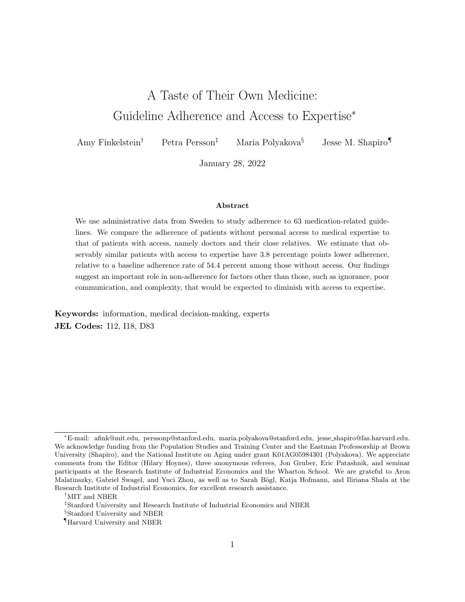the risk set to be the set of pregnancies in which the mother purchased the drug(s) during the 24 months prior to conception, and we de ne adherence as not purchasing the drug(s) during the pregnancy.

#### 2.5 Averaging across Guidelines

We analyze results separately for each guideline, but also average results across guidelines. When we average, we weight each guideline by its prevalence in the population. Specically, for each gender and for each age from 0 through 85, we weight each guideline by the fraction of people in our sample, of the given gender and age, who are in the risk set in a reference year. We then take an unweighted average across ages for each gender and across both males and females as our measure of prevalence. The resulting summary statistics on guideline prevalence and adherence should be interpreted as re
ecting the average experience of a (hypothetical) person who lives each age of life, from 0 through 85, during our sample period.

#### 2.6 Descriptive Statistics

Our analysis sample consists of 5,887,471 individuals aged 85 or younger for whom we have valid information on completed education and who fall into the risk set for at least one guideline over the 2005-2017 period during which we measure prescription drug purchases. Of these individuals, 149,399 have access to expertise at some point during the sample period, of whom over 95 percent have access to expertise throughout.

The share of the population in the risk set ranges from 7.6 percent for the guideline that adults should use penicillin V for their rst antibiotic treatment (as opposed to starting with a broaderspectrum antibiotic), to 0.003 percent for the recommendation against using anti-epileptics during pregnancy (Appendix Figure 1, Panel A).

On average, over their life cycle, an individual is exposed to 36.32 guidelines. The average

 $10$  For guidelines recommending against certain prescriptions for those 75 and older, the reference year is 2017, the most recent year in which we measure prescription drug purchases. Otherwise, the reference year is 2016, the most recent year in which we measure inpatient and outpatient hospital visits.

 $11$  Of those who fall into the risk set for at least one guideline, 2.4 percent are excluded from the analysis sample because of missing or invalid information on completed education.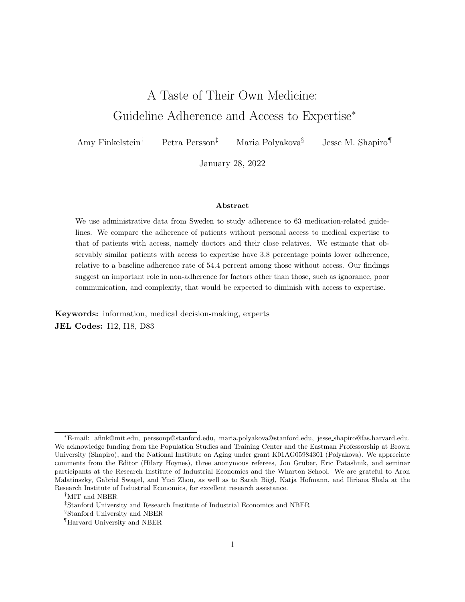woman is subject to 43.23 guidelines and the average man to 28.85 guidelines, with the dierence driven primarily by the pregnancy guidelines. Guidelines are substantially more prevalent for the elderly. Appendix Figure 2 shows patterns of guideline prevalence in more detail.

Rates of adherence vary considerably across guidelines (Appendix Figure 1, Panel B). Among those without access to expertise, adherence ranges from 20.4 percent for the recommendation that individuals age 50 and older take osteoporosis medications in the 12 months after a fracture diagnosis, to 98.8 percent for the guidelines against taking D-class tetracyclines (antibiotics) and progestogens (hormones) during pregnancy. On average, over their life cycle, an individual without access to expertise adheres to guidelines 54.4 percent of the time.

Appendix Tables 1{4 report the share of the population covered by each guideline, as well as the average adherence rate for each guideline among those without access to expertise.

## 3 Results

#### 3.1 Individual Guidelines

Figure 1 presents dierences in adherence between otherwise similar individuals with and without access to expertise for each of the 63 guidelines. Speci cally each row reports the coe cient and the 95 percent pointwise con dence interval from a linear regression of an indicator for adherence on an indicator for access to expertise and a set of baseline controls; the sample is the set of patient-years in the risk set for the given guideline. The baseline controls are indicators for: income percentile, calendar year, month, age in years, gender, highest level of education, municipality of residence, and the number of children previously born to the person (zero for males). The con dence intervals are based on standard errors which are clustered at the patient level for any guidelines for which a patient can appear in the risk set more than once, and which are heteroskedasticity-robust otherwise.

Figure 1 orders guidelines by the size of the coecient on access to expertise. Darker colors indicate guidelines that aect a larger share of the population, which is also re
ected in generally

<sup>&</sup>lt;sup>12</sup> For comparison, Sabate, ed (2003) reports that adherence to recommended regimes for patients with chronic illnesses averages about 50 percent in developed countries.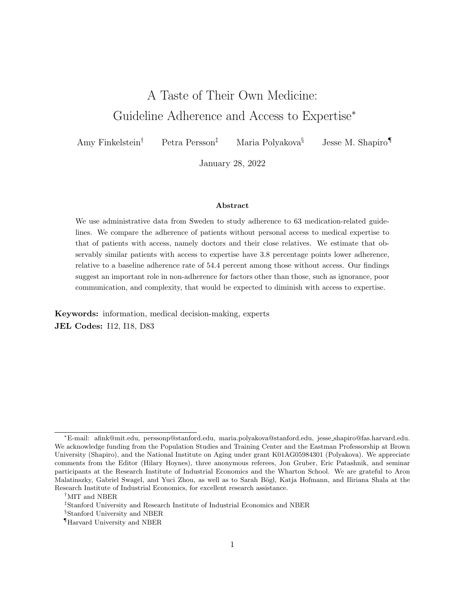smaller con dence intervals.

Out of 63 guidelines, we nd a negative point estimate for 41 of them, indicating that access to expertise is associated with lower adherence; 20 of these 41 estimates are statistically signi cantly dierent from zero. For example, for the guideline that individuals aged 75 and older should avoid a particular set of potentially risky drugs including some tranquilizers and opioids, we nd that access to expertise is associated with a statistically signicant 4.1 percentage point lower adherence (95 percent condence interval 5.7 to 2.6), relative to a 49.4 percent adherence rate among those without access to expertise. Likewise, for the guideline advising that pregnant women not take C-class opioids, access to expertise is associated with a statistically signi cant 1.9 percentage point lower adherence (95 percent con dence interval 3.4 to 0.3), relative to an 85.1 percent adherence rate among those without access to expertise.

For the remaining 22 guidelines, the point estimate is positive, with 3 of these estimates statistically signi cantly di erent from zero. For example, for the guideline recommending the use of statins 12-18 months after a myocardial infarction diagnosis, access to expertise is associated with a statistically insigni cant 0.5 percentage point greater adherence (95 percent con dence interval -2.1 to 3.0) relative to a 53.2 percent adherence rate among those without access to expertise.

#### 3.2 Aggregate Patterns

On average across all of these guidelines, individuals with access to expertise are 3.8 percentage points less likely to adhere to guidelines (Figure 2, top row); the 95 percent condence interval spans 4.1 to  $3.5^{13}$  The point estimate represents a 7.0 percent lower adherence rate among those with access to expertise. In other words, while the average patient without access to expertise adheres to guidelines 54.4 percent of the time, a demographically similar patient with access to expertise adheres only 50.6 percent of the time.

Figure 2 Panel A shows that adherence is statistically signi cantly lower for those with access to expertise in each of the four, mutually exclusive and exhaustive categories of guidelines we created. The adherence gap is most pronounced for antibiotic guidelines, where those with access

 $13$  The 95 percent con dence intervals reported in Figure 2 are based on a patient-level bootstrap with 50 replicates.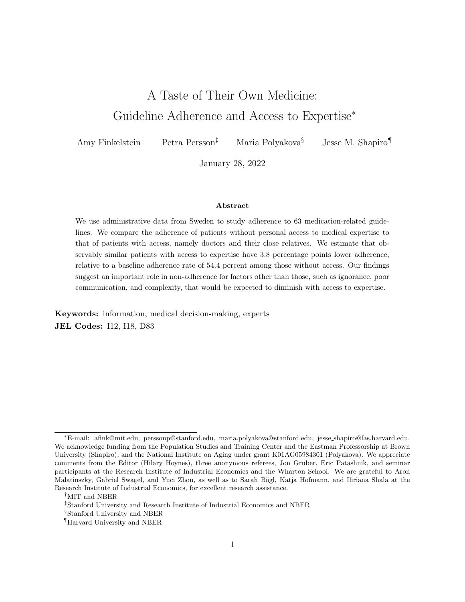to expertise are on average 5.2 percentage points (about 9.8 percent) less likely to adhere (95 percent condence interval 5.6 to 4.9 percentage points). The adherence gap for antibiotics is statistically dierent from the adherence gap for each of the other three guideline categories  $\phi$ values are  $0.0009<sub>5</sub>$  0.0001, and  $0.0001$  for tests of equality with elderly, diagnosis-speci c, and pregnancy guidelines, respectively). The adherence gap is least pronounced (but still statistically signi cantly di erent from zero) for the pregnancy quidelines, where those with access to expertise are on average 2.1 percentage points (about 2.4 percent) less likely to adhere (95 percent condence interval 2.6 to 1.6 percentage points)<sup>14</sup> We also nd that guidelines that have a higher adherence rate among those without access to expertise tend to have a more pronounced adherence gap, although this relationship is not statistically signicant (Appendix Figure 4).

Panel B shows how the relationship between access to expertise and adherence changes as we narrow or broaden the de nition of either \access" or \expertise." Our baseline de nition of access to expertise denes doctors as experts and access based on being a doctor, partnering with one, or having one in the close family<sup>15</sup> When we narrow the de nition of access to expertise to include only being a doctor oneself, access to expertise is now associated with a more negative, 8.4 percentage point lower adherence rate (95 percent condence interval: 9.0 to 7.8), compared to our baseline estimate of  $3.8<sup>6</sup>$  When we broaden the de nition of access to include having a physician in one's extended family, access to expertise is associated with only a 1.6 percentage point lower adherence rate (95 percent con dence interval: 1.9 to 1.3). Likewise, if we leave the de nition of access unchanged but broaden the de nition of experts to include nurses and pharmacists, access to expertise is associated with only a 0.9 percentage point lower adherence rate (95 percent condence interval 1.0 to 0.7).

<sup>&</sup>lt;sup>14</sup> We also nd that the adherence gap is slightly larger for men than women, consistent with a smaller gap for pregnancy guidelines, and larger for children than for non-elderly adults or elderly adults, consistent with a larger gap for antibiotic guidelines (Appendix Figure 3).

<sup>&</sup>lt;sup>15</sup>Our baseline analysis de nes access to expertise at the patient-year level. When we instead de ne access to expertise at the patient level, based on whether the patient ever has access to expertise during the sample period, we estimate an adherence gap of -3.5 (95 percent condence interval -3.8 to -3.2 percentage points).

<sup>&</sup>lt;sup>16</sup>When we exclude those who are doctors from the sample entirely (not shown), access to expertise is associated with a less negative 1.8 percentage point lower adherence rate (95 percent con dence interval: 2.2 to 1.4).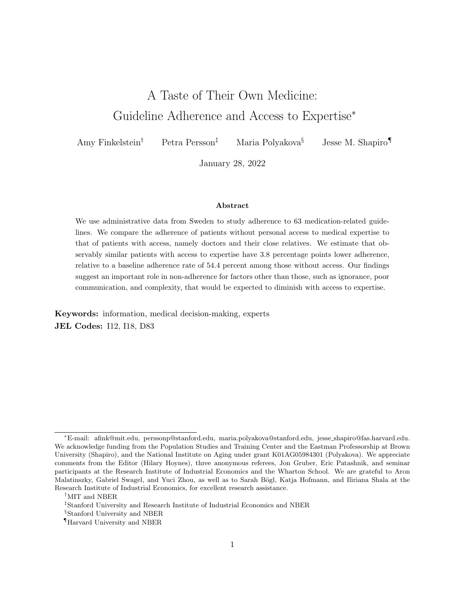#### 3.3 Interpretation

#### 3.3.1 Socioeconomic Status

One explanation for the lower adherence to medication guidelines among those with access to expertise is that the negative relationship between access to expertise and adherence is driven by unobserved dierences in socioeconomic status (SES) between those with and without access to expertise. Recall that we control for income percentile and education in our main analysis. Since doctors are a relatively high-SES occupation, and prior evidence indicates that adherence is positively associated with SES in both the US (Kennedy and Erb 2002; Mojtabai and Olfson 2003; Madden et al. 2008) and Sweden (Wamala et al. 2007), we expect any unmeasured dierences in SES to bias against our ndings, toward a more positive association between adherence and access to expertise. Consistent with this expectation, Panel C of Figure 2 shows that removing income percentile and education from our set of controls produces a slightly less negative association between adherence and access to expertise.

The scatterplot in Figure 3 evaluates the role of income more directly. They-axis variable is a measure of the association between adherence and access to each of a broad set of specialized occupations, obtained by augmenting the models underlying Figure 1 to include indicators for access to each occupation. Thex-axis variable is the average income percentile of those with access to the given occupation. Not surprisingly, we nd a positive association between the average income of people with access to a given occupation and their adherence rate. However, doctors are a major outlier; although those with access to doctors have very high incomes, access to doctors is associated with markedly lower adherence.<sup>17</sup> Figure 3 thus suggests that access to doctors is associated with lower adherence despite, rather than because of, the high socioeconomic status of those with access to doctors.

 $17$  Consistent with Panel B of Figure 2, those with access to nurses and pharmacists are close to the line of best t in Figure 3.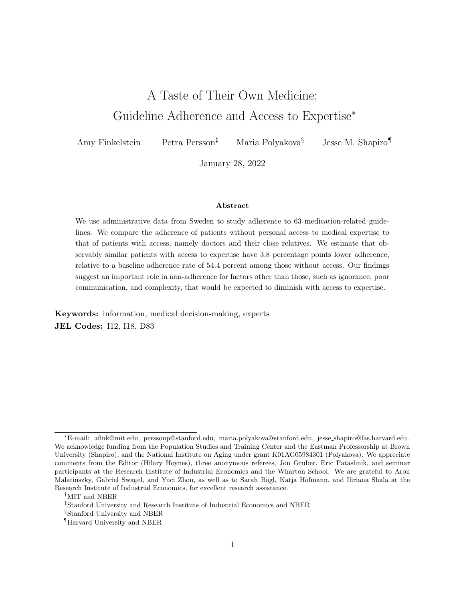#### 3.3.2 Health

Our nding could also be driven by health dierences between those with and without access to expertise. Existing evidence, including prior work in our setting, indicates that doctors and their families tend to have better health and health behaviors (Leuven et al. 2013; Artmann et al. forthcoming; Chen et al. forthcoming).<sup>18</sup>

Each of our analyses of the adherence gap is restricted to those who fall within the risk set for the given guideline. We expect that this reduces the scope for dierences in health between those with and without access to expertise. But it is likely that some unmeasured variation in health remains among those in the risk set, both because the construction of the risk set considers only a limited number of health factors, and because selection into the risk set may depend on non-health factors such as willingness to seek out diagnosis or treatment.

Whether people who are in better health are more or less likely to follow guidelines is a priori unclear. In cases where adherence to the guideline trades o the health of the patient against other considerations|such as antibiotic guidelines which recommend starting with a less aggressive treatment for public health reasons, or recommendations against medication in pregnancy which trade o the health of the mother against potential risks to the fetus|we might expect patients in poorer health to be less likely to follow the guideline. If those in the risk set with access to expertise are in better health, this would bias the estimates against our ndings, toward a positive association between adherence and access to expertise. In practice, adding controls for the ve health conditions described in Section 2.2 makes little dierence to the estimated relationship between adherence and access to expertise (Figure 2, Panel C).

#### 3.3.3 Comfort with or Access to Pharmaceuticals

Another possible explanation for the adherence gap is that access to expertise is associated with greater familiarity and comfort with pharmaceutical solutions to medical problems, or greater ease of lling prescriptions, and thus a greater propensity to take medications even in contradiction of guidelines. Consistent with this explanation, for guidelines whose risk set is based on taking a

 $18$ Consistent with this evidence, Panel A of Appendix Figure 5 shows that those with access to expertise are less likely to be in the risk set for some guidelines where the risk set is based on a diagnosis.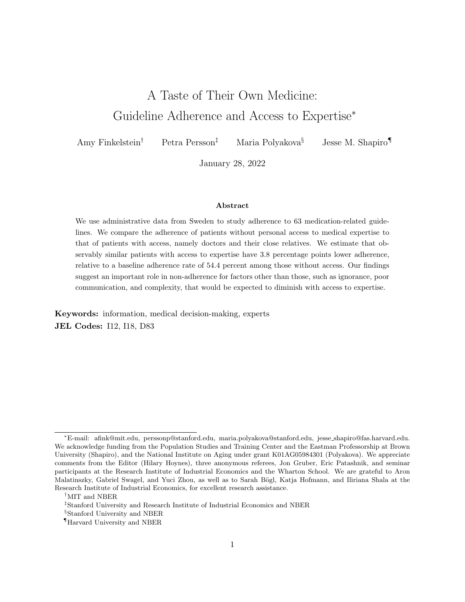particular medication, those with access to expertise are on average more likely to be in the risk set (Appendix Figure 5, Panel B). As noted above, dierential selection into the risk set could also aect the association between access to expertise and unmeasured factors, such as health, among those in the risk set.<sup>19</sup>

However, Panel D of Figure 2 shows that the relationship between adherence and access to expertise is similar between guidelines that recommend against taking a specic drug or class of drugs (\don't take" guidelines) and those that recommend in favor of doing so (\do take" guidelines). For the 30 \don't take" guidelines, we estimate that access to expertise is associated with a 3.4 percentage point (95 percent condence interval 4.2 to 2.6) lower probability of adherence. This is similar to the 2.9 percentage point lower adherence (95 percent condence interval 3.3 to 2.6) for the 27 \do take" recommendations. The adherence gaps are not statistically distinguishable between these two groups  $6$ -value = 0.1950). This suggests that comfort with or access to pharmaceuticals does not account for the negative association between adherence and access to expertise.

#### 3.3.4 Superior Information about Guidelines

The nal explanation we consider is that access to expertise brings with it access to information that contradicts the guidelines in some situations, the condence (or ability) to act on this information, and/or access to providers who have such information. One testable implication of this hypothesis is that access to expertise will be more negatively associated with adherence to guidelines that are based on weaker clinical evidence. Consistent with this implication, Panel E of Figure 2 shows a larger adherence gap where the evidence is weaker. For guidelines related to medication use in pregnancy, the recommendation against C-class drugs is weaker than that against D-class drugs (see Section 2.3); correspondingly, the adherence gap is -2.3 on average for C-class drugs and -1.2 on average for D-class drugs, and these two values are statistically distinguishablo ( $\omega$ alue = 0.0044). For guidelines related to speci c diagnoses and to medication use among the elderly, among those for which we are able to nd a rating on UpToDate (again see Section 2.3 for details), we nd

 $19$  The adherence gap persists in the subset of guidelines for which the strength of the association between being in the risk set and access to expertise is below the median, as measured by the absolute value of the coecient from Appendix Figure 5 divided by the share in the risk set from Appendix Tables 1{4. For this subset, we estimate an adherence gap of -3.8 (95 percent condence interval -4.2 to -3.4).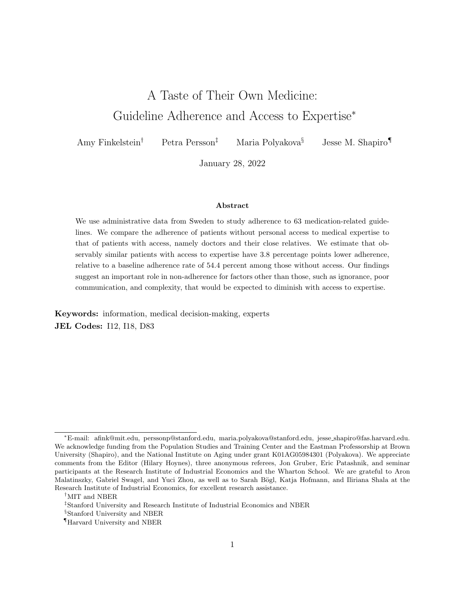an adherence gap of -3.7 among those with weaker evidence and a gap of -3.4 among those with stronger evidence, though the dierence between the two groups is not statistically distinguishable (p-value =  $0.1960$ )<sup>20</sup>

Another testable implication is that access to expertise will be most negatively associated with adherence to guidelines whose recommendations are intended to serve goals other than the narrow interest of the patient. The antibiotic guidelines to use narrower- rather than broader-spectrum antibiotics are an example of recommendations motivated by public (rather than private) health considerations (Pichichero 2002; Sirota et al. 2017; Hyun 2017). As reported in section 3.2, the adherence gap is largest by a considerable and statistically signi cant margin for the antibiotic guidelines, among the four groups of guidelines that we consider.

## 4 Conclusion

As of mid-2018, the US National Guidelines Clearinghouse described over 1,400 currently active medical guidelines (Timmermans and Berg 2003; Agency for Healthcare Research and Quality 2018a,b). Guidelines can help move average practice towards evidence-based standards, but can also discourage customizing care to relevant medical circumstances (Basu 2011; Lugtenberg et al. 2011; Boudoulas et al.  $2015<sup>21</sup>$ 

We nd that patients with access to medical expertise are, on average, less adherent to medication guidelines. This suggests an important role in non-adherence for factors other than those emphasized in much of the literature|such as ignorance, complexity, or failures of patient-provider communication|which would be expected to diminish with access to expertise.

The normative implications of our ndings are not clear. It is possible that lower guideline adherence among those with access to expertise may partly re
ect these patients' superior understanding of guidelines. Our nding that the negative relationship between access to expertise and guideline adherence is more pronounced for guidelines based on weaker clinical evidence, and for

 $20$  For the 13 guidelines in these categories for which we were not able to nd a rating on UpToDate, we nd an adherence gap of -4.3 percentage points (95 percent con dence interval -5.0 to -3.6).

<sup>&</sup>lt;sup>21</sup> Gerber et al. (2010) report that more than 80 percent of the US public is somewhat or very convinced by the argument that treatment guidelines prevent customizing care; see also Patashnik et al. (2017).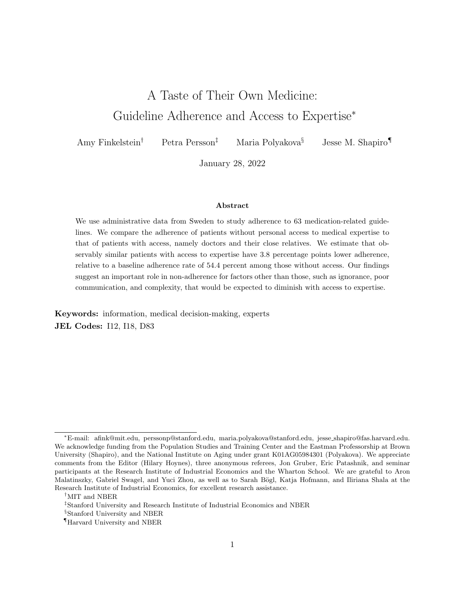guidelines intended to serve interests beyond those of the patient, is consistent with this interpretation, as is other evidence from our setting that those with a health professional in their family are healthier overall (Chen et al. forthcoming). However, there is also evidence that practitioners' departures from prescribing guidelines lead to worse patient outcomes (Currie and MacLeod 2020; Abaluck et al. 2020; Cuddy and Currie 2020). An important avenue for further research is to identify whether and when non-adherence is in the patient's best interest.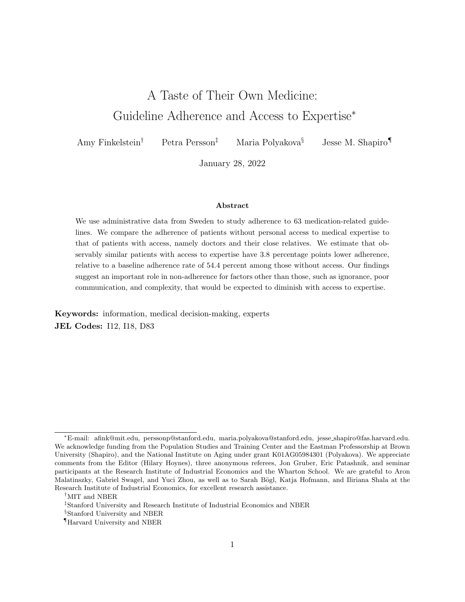## References

- Abaluck, Jason, Leila Agha, David Chan, Daniel Singer, and Diana Zhu , \Fixing Misallocation With Guidelines: Awareness vs. Adherence," Working Paper 27467, National Bureau of Economic Research July 2020.
- Agency for Healthcare Research and Quality , \About NGC and NQMC: Guidelines and Measures," 2018.http://www.ahrg.gov/gam/about/index.html
- $\sim$ , Web Archive of National Guideline Clearinghouse," July 2018. Accessed May 15, 2020.https: //web.archive.org/web/20180713042326/https://www.guideline.gov/
- Alpert, Joseph S. , \Why Are We Ignoring Guideline Recommendations?," The American Journal of Medicine, February 2010,123 (2), 97{98.
- Artmann, Elisabeth, Hessel Oosterbeek, and Bas van der Klaauw , \Do Doctors Improve the Health Care of their Parents? Evidence from Admission Lotteries," American Economic Journal: Applied Economics, forthcoming.
- Aslani, Parisa, Rana Ahmed, and Filipa Alves da Costa , \The Role of Adherence in Pharmaceutical Care," in Filipa Alves da Costa, J. W. Foppe van Mil, and Aldo Alvarez-Risco, eds.,The Pharmacist Guide to Implementing Pharmaceutical Care, Cham: Springer International Publishing, 2019, pp. 41{57.
- Baicker, Katherine, Sendhil Mullainathan, and Joshua Schwartzstein , \Behavioral Hazard in Health Insurance," Quarterly Journal of Economics, 2015,130 (4), 1623{1668. Publisher: Oxford University Press.
- Basu, Anirban , \Economics of Individualization in Comparative Eectiveness Research and a Basis for a Patient-Centered Health Care," Journal of Health Economics, May 2011, 30 (3), 549{559. Edition: 2011/04/23.
- Bodnaruk, Andriy and Andrei Simonov, NDo Financial Experts Make Better Investment Decisions?,"Journal of Financial Intermediation , October 2015,24 (4), 514{536.
- Bosworth, Hayden B. , \Causes of Medication Nonadherence," in Hayden B. Bosworth, ed., Enhancing Medication Adherence: The Public Health Dilemma, Tarporley: Springer Healthcare Ltd., 2012, pp. 9{16.
- Boudoulas, Konstantinos Dean, Carl V. Leier, Paraschos Geleris, and Harisios Boudoulas , \The Shortcomings of Clinical Practice Guidelines," Cardiology, 2015, 130 (3), 187{200.
- Bronnenberg, Bart J., Jean-Pierre Dube, Matthew Gentzkow, and Jesse M. Shapiro , \Do Pharmacists Buy Bayer? Informed Shoppers and the Brand Premium," Quarterly Journal of Economics, November 2015,130 (4), 1669{1726.
- Brown, Marie T. and Jennifer K. Bussell , Medication Adherence: WHO Cares?," Mayo Clinic Proceedings, April 2011, 86 (4), 304{314.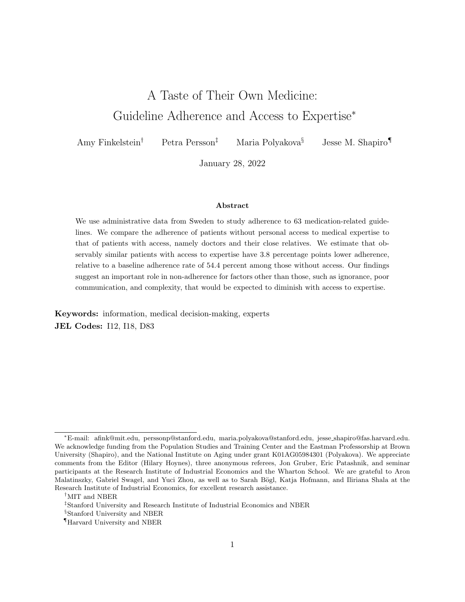- Bunker, John P. and Byron Wm. Brown , \The Physician-Patient as an Informed Consumer of Surgical Services,"New England Journal of Medicine, May 1974, 290 (19), 1051{1055.
- Chen, Stacey H., Hongwei Chuang, Jennjou Chen, and Tzu-Hsin Lin , \Physicians Treating Physicians: The Relational and Informational Advantages in Treatment and Survival," SSRN Scholarly Paper, Social Science Research Network December 2020.
- Chen, Yiqun, Petra Persson, and Maria Polyakova , \The Roots of Health Inequality and The Value of Intra-Family Expertise," American Economic Journal: Applied Economics, forthcoming.
- Chou, Yiing-Jenq, Nicole Huang, I-Feng Lin, Chung-Yeh Deng, Yi-Wen Tsai, Long-Shen Chen, and Cheng-Hua Lee , \Do Physicians and their Relatives Have a Decreased Rate of Cesarean Section? A 4-Year Population-Based Study in Taiwan,"Birth , September 2006,33 (3), 195{202.
- Choudhry, Niteesh K., Jerry Avorn, Robert J. Glynn, Elliott M. Antman, Sebastian Schneeweiss, Michele Toscano, Lonny Reisman, Joaquim Fernandes, Claire Spettell, Joy L. Lee, Raisa Levin, Troyen Brennan, and William H. Shrank , \Full Coverage for Preventive Medications after Myocardial Infarction," New England Journal of Medicine, November 2011,365 (22), 2088{2097.
- Colantonio, Lisandro D., Lei Huang, Keri L. Monda, Vera Bittner, Maria-Corina Serban, Benjamin Taylor, Todd M. Brown, Stephen P. Glasser, Paul Muntner, and Robert S. Rosenson , \Adherence to High-Intensity Statins Following a Myocardial Infarction Hospitalization Among Medicare Bene ciaries," JAMA Cardiology, August 2017, 2 (8), 890{895.
- Cuddy, Emily and Janet Currie , \Rules vs. Discretion: Treatment of Mental Illness in U.S. Adolescents," Working Paper 27890, National Bureau of Economic Research October 2020.
- Currie, Janet M. and W. Bentley MacLeod , \Understanding Doctor Decision Making: The Case of Depression Treatment,"Econometrica, May 2020, 88 (3), 847{878.
- Danielsson, Bengt R. and Lennart Dencker , \Graviditets- och amningsinformation," February 2019. Accessed January 12, 2022https://www.fass.se/LIF/menydokument?userType=0& menyrubrikId=124
- Electronic Medicines Compendium , \What is an SmPC? Help and Support," October 2017. Accessed May 20, 2020https://emcsupport.medicines.org.uk/support/solutions/ articles/7000007888-what-is-an-smpc- .
- Fischer, Florian, Kerstin Lange, Kristina Klose, Wolfgang Greiner, and Alexander Kraemer , \Barriers and Strategies in Guideline Implementation|A Scoping Review," Healthcare, 2016,4 (3).
- Fleming-Dutra, Katherine E., Adam L. Hersh, Daniel J. Shapiro, Monina Bartoces, Eva A. Enns, Thomas M. File Jr, Jonathan A. Finkelstein, Jerey S. Gerber, David Y. Hyun, Jerey A. Linder, Ruth Lyneld, David J. Margolis, Larissa S. May, Daniel Merenstein, Joshua P. Metlay, Jason G. Newland, Jay F. Piccirillo, Rebecca M. Roberts, Guillermo V. Sanchez, Katie J. Suda, Ann Thomas, Teri Moser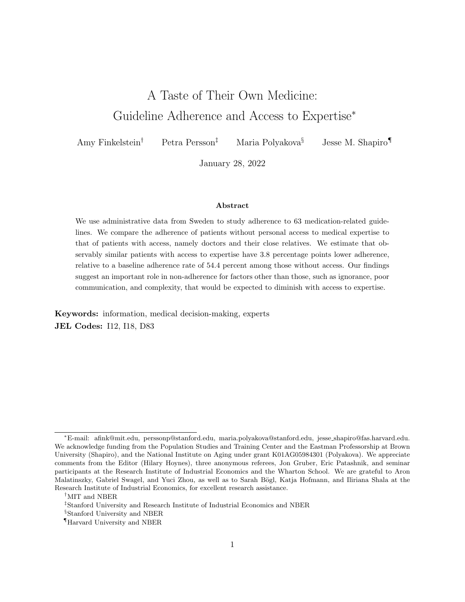Woo, Rachel M. Zetts, and Lauri A. Hicks , \Prevalence of Inappropriate Antibiotic Prescriptions Among US Ambulatory Care Visits, 2010-2011," JAMA , May 2016, 315 (17), 1864{ 1873.

- Fonarow, Gregg C., Clyde W. Yancy, Adrian F. Hernandez, Eric D. Peterson, John A. Spertus, and Paul A. Heidenreich , \Potential Impact of Optimal Implementation of Evidence-Based Heart Failure Therapies on Mortality," American Heart Journal, 2011, 161 (6), 1024{1030.e3.
- Frakes, Michael, Jonathan Gruber, and Anupam Jena , Ns Great Information Good Enough? Evidence from Physicians as Patients,"Journal of Health Economics, January 2021, 75, 102406.
- Gellad, Walid F., Jerry Grenard, and Elizabeth A. McGlynn , \A Review of Barriers to Medication Adherence: A Framework for Driving Policy Options," Technical Report, RAND Corporation, Santa Monica, CA 2009.
- Gerber, Alan S., Eric M. Patashnik, David Doherty, and Conor Dowling , \A National Survey Reveals Public Skepticism about Research-Based Treatment GuidelinesHealth A airs, October 2010,29 (10), 1882{1884.
- Glanz, K., S.B. Fiel, L.R. Walker, and M.R. Levy , \Preventive Health Behavior of Physicians," Academic Medicine, 1982,57 (8).
- Gramelspacher, Gregory P., Xiao-Hua Zhou, Mark P. Hanna, and William M. Tierney , \Preferences of Physicians and Their Patients for End-of-Life Care,"Journal of General Internal Medicine, June 1997,12 (6), 346{351.
- Grytten, Jostein, Irene Skau, and Rune Srensen , \Do Expert Patients Get Better Treatment Than Others? Agency Discrimination and Statistical Discrimination in Obstetrics," Journal of Health Economics, January 2011,30 (1), 163{180.
- Handel, Benjamin R. and Jonathan T. Kolstad , Nealth Insurance for `Humans': Information Frictions, Plan Choice, and Consumer Welfare," American Economic Review, 2015,105 (8), 2449{2500.
- Hyun, David , \What Drives Inappropriate Antibiotic Use in Outpatient Care?," Technical Report, Pew Charitable Trusts 2017.
- Irwin, Amy, Susan Moore, Connie Price, Tim Jenkins, Lauren DeAlleaume, and David West , \Flexible Interventions to Decrease Antibiotic Overuse in Primary Care Practice: A Report from SNOCAP-USA," Technical Report, Agency for Healthcare Research and Quality 2014.
- Johnson, Erin M. and M. Marit Rehavi , \Physicians Treating Physicians: Information and Incentives in Childbirth," American Economic Journal: Economic Policy, 2016,8 (1), 115{41.
- Kennedy, Jae and Christopher Erb, Nerescription Noncompliance Due to Cost among Adults with Disabilities in the United States," American Journal of Public Health, July 2002, 92 (7), 1120{1124.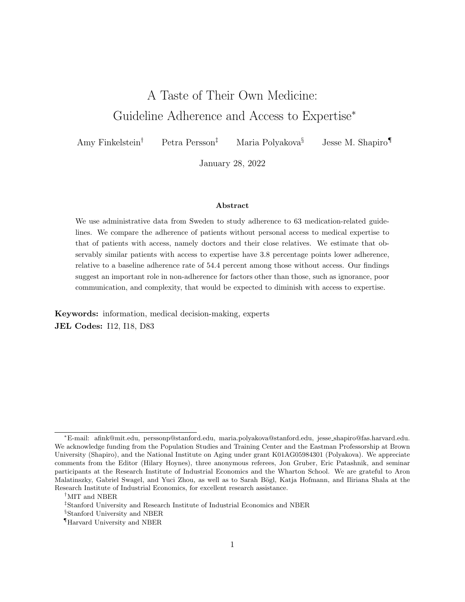- Krueger, Kem P., Bruce A. Berger, and Bill Felkey , Nedication Adherence and Persistence: A Comprehensive Review,"Advances in Therapy, July 2005, 22 (4), 313{356.
- Leuven, Edwin, Hessel Oosterbeek, and Inge de Wolf , \The E ects of Medical School on Health Outcomes: Evidence from Admission Lotteries,"Journal of Health Economics, July 2013, 32 (4), 698{707.
- Levitt, Steven D. and Chad Syverson , \Market Distortions When Agents are Better Informed: The Value of Information in Real Estate Transactions," Review of Economics and Statistics, November 2008,90 (4), 599{611.
- Lopez-Vazquez, Paula, Juan M. Vazquez-Lago, and Adolfo Figueiras , \Misprescription of Antibiotics in Primary Care: A Critical Systematic Review of its Determinants," Journal of Evaluation in Clinical Practice , April 2012, 18 (2), 473{484.
- Lugtenberg, Marjolein, Jako S. Burgers, Carolyn Clancy, Gert P. Westert, and Eric C. Schneider , \Current Guidelines Have Limited Applicability to Patients with Comorbid Conditions: A Systematic Analysis of Evidence-Based Guidelines, PloS one, 2011, 6 (10), e25987.
- Madden, Jeanne M., Amy J. Graves, Fang Zhang, Alyce S. Adams, Becky A. Briesacher, Dennis Ross-Degnan, Jerry H. Gurwitz, Marsha Pierre-Jacques, Dana Gelb Safran, Gerald S. Adler, and Stephen B. Soumerai , \Cost-Related Medication Nonadherence and Spending on Basic Needs Following Implementation of Medicare Part D," JAMA , April 2008, 299 (16), 1922{1928.
- McDonald, Heather P., Amit X. Garg, and R. Brian Haynes , \Interventions to Enhance Patient Adherence to Medication Prescriptions: Scienti c Review," JAMA, December 2002288 (22), 2868{2879.
- Mojtabai, Ramin and Mark Olfson , \Medication Costs, Adherence, and Health Outcomes among Medicare Bene ciaries," Health A airs, July 2003, 22 (4), 220{229.
- Mullainathan, Sendhil and Eldar Shar , Scarcity: Why Having Too Little Means So Much, New York, NY, US: Times Books/Henry Holt and Co, 2013. Pages: 289.
- Neiman, Andrea B. , \CDC Grand Rounds: Improving Medication Adherence for Chronic Disease Management | Innovations and Opportunities," MMWR. Morbidity and Mortality Weekly Report, 2017,66.
- Nieuwlaat, Robby, Nancy Wilczynski, Tamara Navarro, Nicholas Hobson, Rebecca Jeery, Arun Keepanasseril, Thomas Agoritsas, Niraj Mistry, Alfonso Iorio, Susan Jack, Bhairavi Sivaramalingam, Emma Iserman, Reem A Mustafa, Dawn Jeraszewski, and Chris Cotoi , \Interventions for Enhancing Medication Adherence," Cochrane Database of Systematic Review 2014, (11).
- Patashnik, Eric M., Alan S. Gerber, and Conor M. Dowling , Unhealthy Politics: The Battle over Evidence-Based Medicine Princeton, NJ: Princeton University Press, 2017.
- Pichichero, Michael E. , \Dynamics of Antibiotic Prescribing for Children," JAMA , June 2002, 287 (23), 3133{3135.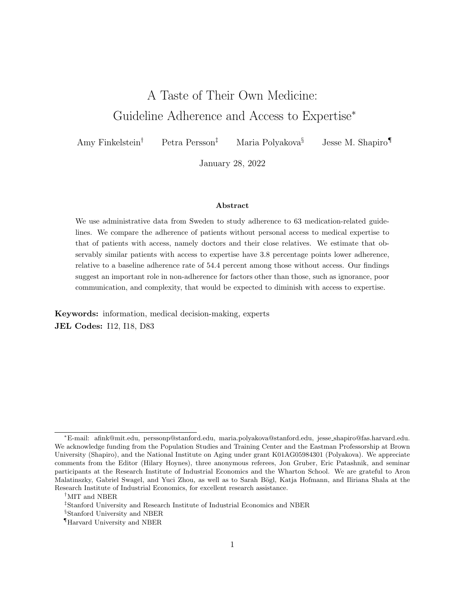- Rutherford, R.C., T.M. Springer, and A. Yavas , \Con icts Between Principals and Agents: Evidence from Residential Brokerage,"Journal of Financial Economics, June 2005,76 (3), 627{ 665.
- Sabae, Eduardo, ed., Nacherence to Long-Term Therapies: Evidence for Action," Technical Report, World Health Organization 2003.
- Sirota, Miroslav, Thomas Round, Shyamalee Samaranayaka, and Olga Kostopoulou , \Expectations for Antibiotics Increase their Prescribing: Causal Evidence about Localized Impact," Health Psychology, 2017,36 (4), 402{409.
- Skatteverket , \Individuals and Employees." Accessed January 4, 2022. https://www. skatteverket.se/servicelankar/otherlanguages/inenglish/individualsandemployees. 4.7be5268414bea064694c3e1.html.
- Socialstyrelsen, *\*Indikatorer for god bakemedelsterapi hos aldre," 2010. Accessed October 2019. https://www.socialstyrelsen.se/globalassets/sharepoint-dokument/artikelkatalog/ ovrigt/2010-6-29.pdf .
- $\Box$ , \Halsodataregister raddar liv och ger battre ard," 2019. Accessed August 2021. https://www.socialstyrelsen.se/globalassets/sharepoint-dokument/dokumentwebb/ovrigt/halsodataregister-information-om-nyttan-med-register.pdf .
- Statistics Sweden , \Longitudinal Integrated Database for Health Insurance and Labour Market Studies (LISA)." Accessed May 2019.https://www.scb.se/en/services/orderingdata-and-statistics/ordering-microdata/vilka-mikrodata-finns/longitudinellaregister/longitudinal-integrated-database-for-health-insurance-and-labourmarket-studies-lisa/ .
- Sveriges Kommuner och Regioner, Narden i siror," 2019. Accessed October 16, 2019. https://vardenisiffror.se/ .
- Swedish Dental and Pharmaceutical Bene ts Agency , What is the High Cost Threshold? How it Works," January 2020. Accessed January 5, 2022https://www.tlv.se/in-english/ medicines/what-is-the-high-cost-threshold/how-it-works.html .
- The GRADE Working Group , \GRADE Home." Accessed June 10, 2020.https://www. gradeworkinggroup.org/ .
- Timmermans, Stefan and Marc Berg , The Gold Standard, Temple University Press, 2003.
- Ubel, Peter A., Andrea M. Angott, and Brian J. Zikmund-Fisher , \Physicians Recommend Di erent Treatments for Patients Than They Would Choose for Themselves," Archives of Internal Medicine, April 2011, 171 (7), 630{634.
- UpToDate, Inc. and/or its a liates , \Evidence-Based Clinical Decision Support at the Point of Care." Accessed June 10, 2020https://www.uptodate.com/home .
- van Driel, Mieke L., Michael D. Morledge, Robert Ulep, Johnathon P. Shaer, Philippa Davies, and Richard Deichmann , Interventions to Improve Adherence to Lipid-Lowering Medication," Cochrane Database of Systematic Review 2016, (12).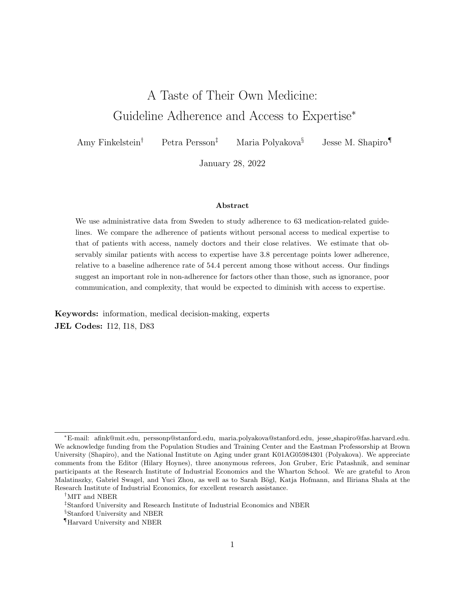- Wamala, Sarah, Juan Merlo, Gunnel Bostrom, Christer Hogstedt, and Gunner Agren \Socioeconomic Disadvantage and Primary Non-adherence with Medication in Sweden, International Journal for Quality in Health Care , June 2007,19 (3), 134{140.
- Weissman, Joel S., Zara Cooper, Joseph A. Hyder, Stuart Lipsitz, Wei Jiang, Michael J. Zinner, and Holly G. Prigerson , \End-of-Life Care Intensity for Physicians, Lawyers, and the General Population," JAMA , January 2016,315 (3), 303{305.
- Wunsch, Hannah, Damon Scales, Hayley B. Gershengorn, May Hua, Andrea D. Hill, Longdi Fu, Therese A. Stukel, Gordon Rubenfeld, and Robert A. Fowler , \End-of-Life Care Received by Physicians Compared with Nonphysicians,"JAMA Network Open, July 2019, 2 (7), e197650.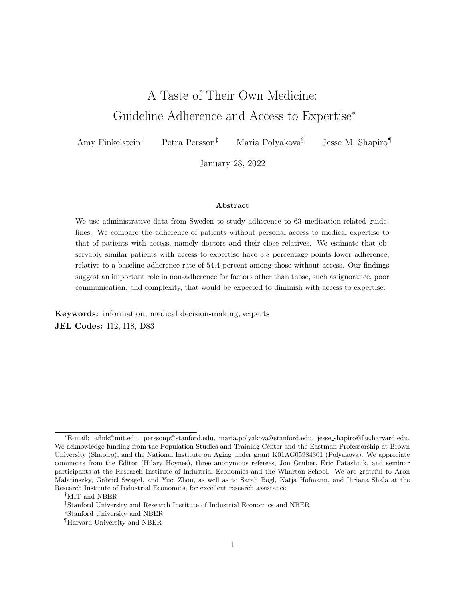Figure 1: Adherence and Access to Expertise, by Guideline

Note: For each guideline, we run an OLS regression of an indicator variable for adherence on an indicator for access to expertise, controlling for indicators for the calendar year and seasonal month at which we start measuring adherence, indicators for age in years, gender, highest level of education (or of mother's education for those age 26 and under), municipality of residence (or of mother's residence for those age 17 and under), income percentiles, and number of children previously born to the person (zero for males), all measured in the previous year. We include separate indicators for whether income is missing, zero, or negative (these represent, respectively, 4.2, 4.0, and 4.3 percent of the analysis sample) and for whether municipality of residence is missing (2.7 percent of the analysis sample). The sample for each regression is the set of patient-years in the corresponding risk set. Depicted 95% pointwise con dence intervals are based on standard errors which are clustered at the patient level for any guidelines for which a patient can appear in the risk set more than once, and which are heteroskedasticity-robust otherwise. The color code represents eight equally-sized bins of guideline prevalence, with darker colors representing higher prevalence.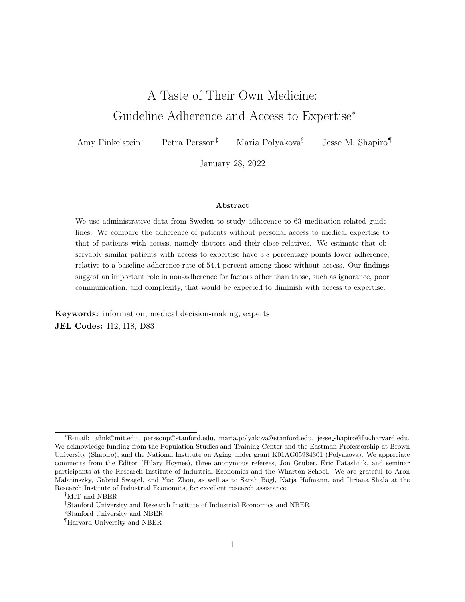#### Figure 2: Adherence and Access to Expertise, Averages

Note: The plot shows the prevalence-weighted average coe cient on access to expertise from the regressions described in Figure 1. Spikes indicate upper and lower bounds of the 95% con dence interval. Row labels describe the analysis, with the number of included guidelines in parentheses if dierent from baseline. We bootstrap the estimation with 50 replicates drawn at the patient level, and construct con dence intervals based on the bootstrap standard errors. The prevalence weights are the guideline- and age-specic empirical probabilities of being in the risk set in the reference year. Baseline includes all patients and guidelines. In Panels A, D and E, we average the coecients for each set of guidelines. In Panel B, we re-estimate the regressions described in Figure 1 modifying the denition of access to expertise in three ways, rst by excluding patients who are not themselves doctors (and thus excluding two guidelines that apply only to children), second by including patients with a doctor in their extended family, and third by including patients with access to a nurse or pharmacist. In the rst row of Panel C, we re-estimate the regressions described in Figure 1 excluding the education and income controls. In the second row of Panel C, we re-estimate the regressions described in Figure 1 including as controls separate indicators for whether an individual had a heart attack, heart failure, lung cancer, type II diabetes, or asthma diagnosis in any preceding year. Panel D excludes the 6 antibiotic recommendations while Panel E excludes 13 guidelines for which there was no UptoDate grade available.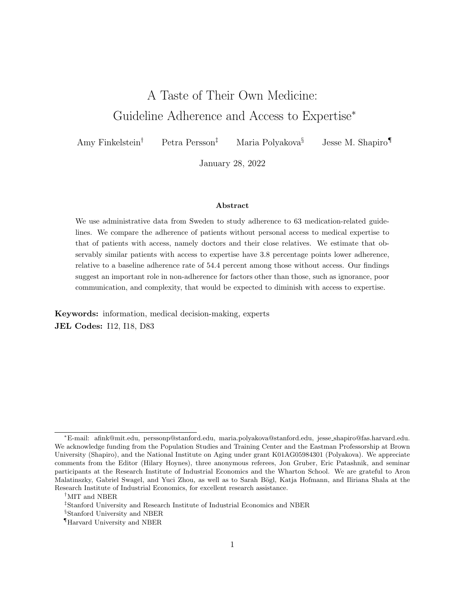Note: The plot shows the prevalence-weighted average relationship between adherence and access to a given occupation, plotted against the average income percentile of those with access to the occupation. To construct the y-axis variable, we augment the models underlying Figure 1 to include indicators for access to each occupation; the regressions include all of our baseline controls (including own income percentile), and a given case in the risk set may have access to multiple occupations. We then average the coecient on the access indicator using the method underlying Figure 2. We exclude occupations with fewer than 150 individuals. We normalize the average coe cient for each occupation by subtracting the average coe cient for access to a doctor. To construct the x-axis variable, we calculate the average income percentile of those with access to the given occupation in 2016. We plot the line of best t excluding doctors, nurses, and pharmacists, weighted by the number of individuals in the occupation, which is proportional to circle areas.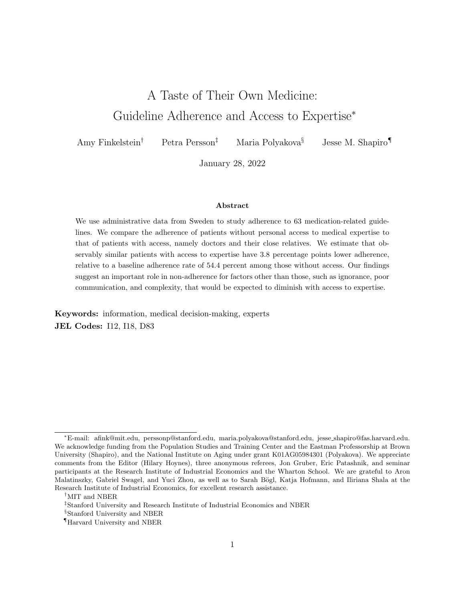## Appendices

| Guideline                                                         | Risk set                                                                                      |        | Adherence                                                                                  |         |
|-------------------------------------------------------------------|-----------------------------------------------------------------------------------------------|--------|--------------------------------------------------------------------------------------------|---------|
|                                                                   | De nition                                                                                     | Share  | De nition                                                                                  | Share   |
| Don't initiate UTI<br>treatment with<br>quinolones, elderly       | Elderly with rst prescription for antibiotics<br>against UTI in/after July 2007; age 75+      | .0038  | Individual's rst antibiotics prescrip-<br>tion is not for quinolones                       | .63     |
| Initiate UTI treatment with recom-<br>mended antibiotics, elderly | Elderly with rst prescription for antibiotics<br>against UTI in/after July 2007; age 75+      | .0038  | Individual's rst antibiotics prescrip-<br>tion is for nitrofurantoin or pivmecil-<br>linam | .55     |
| Initiate RTI treatment with penicillin<br>V, children             | Individuals with rst prescription for antibi-<br>otic against RTI in/after July 2007; age 0{6 | .01    | Individual's rst antibiotics prescrip-<br>tion is for penicillin V                         | .79     |
| Don't initiate UTI treatment with<br>quinolones, women            | Women with rst prescription for antibiotics<br>against UTI in/after July 2007; age 18{79}     | .018   | Individual's rst antibiotics prescrip-<br>tion is not for quinolones                       | .84     |
| Initiate antibiotics treatment with<br>penicillin V, children     | Individuals with rst prescription for antibi-<br>otics in/after July 2007; age $0\{17$        | .021   | Individual's rst antibiotics prescrip-<br>tion is for penicillin V                         | .64     |
| Initiate antibiotics treatment with<br>penicillin V, adults       | Individuals with rst prescription for antibi-<br>otics in/after July 2007; age 18+            | .076   | Individual's rst antibiotics prescrip-<br>tion is for penicillin V                         | $\cdot$ |
| Average                                                           |                                                                                               | .00076 |                                                                                            | .53     |

## Appendix Table 1: Guidelines Covering the Use of Antibiotics

Note : All guidelines but the rst are recommendations that patients start with narrower- as opposed to broader-spectrum antibiotics. UTI: urinary tract infection; RTI: respiratory tract infection. We de ne that an individual initiates antibiotic treatment if she did not have an antibiotic prescription within 2 years before the rst prescription we observe in the drug claims data. As we start observing drug claims made in July 2005, we consider individuals with rst prescription in/after July 2007. Column \share"under \risk set" lists the share of the Swedish population in each guideline's risk set in the reference year; column \share" under \adherence" lists the adherence rate for those without access to expertise. We do not classify these guidelines as \do take" or \don't take" because they recommend in favor of some drugs over others conditional on takingan antibiotic. In other words, the recommendations worded \don't initiate with" (a broader-targeted antibiotic) are implicitly recommending initiating with <sup>a</sup> narrower-targeted antibiotic. The last row shows the average of age-specic guideline prevalence in the reference year across all ages and guidelines and lifecycle-prevalenceweighted average of adherence among those without access to expertise. For regressions involving the guidelines listed in this table, the unit of analysis is the patient.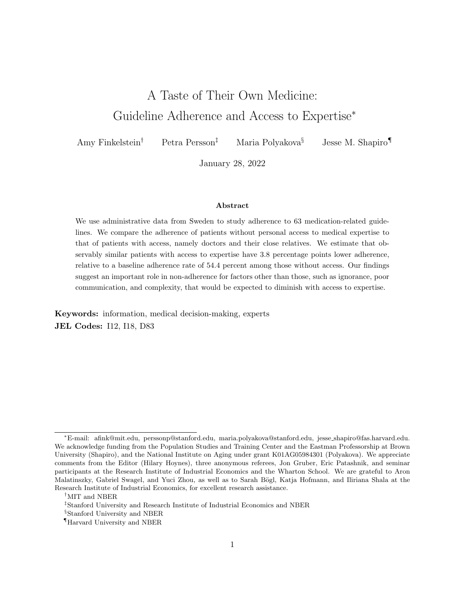| Guideline                                                                                             | Risk set                                                                                                                                             |         | Adherence                                                                                                                                                             |       | Do vs.     | Strength<br>of |
|-------------------------------------------------------------------------------------------------------|------------------------------------------------------------------------------------------------------------------------------------------------------|---------|-----------------------------------------------------------------------------------------------------------------------------------------------------------------------|-------|------------|----------------|
|                                                                                                       | De nition                                                                                                                                            | Share   | De nition                                                                                                                                                             | Share | don't take | evidence       |
| Don't take hazardous drugs<br>after ischemic heart disease<br>& heart failure diagnoses, el-<br>derly | Elderly with rst inpatient or out-<br>patient diagnosis for ischemic heart<br>disease, with heart failure diagnosis;<br>discharge in/after July 2005 | .000082 | No prescription for diltiazem<br>or verapamil after discharge                                                                                                         | .98   | Don't take | Ungraded       |
| Don't take hazardous drugs<br>after ischemic heart disease &<br>A b diagnoses, elderly                | Elderly with rst inpatient or out-<br>patient diagnosis for ischemic heart<br>disease, with A b diagnosis; dis-<br>charge in/after July 2005         | .00011  | No prescription for diltiazem<br>or verapamil in combination<br>with beta blockers after dis-<br>charge                                                               | .96   | Don't take | Ungraded       |
| Take digoxin after heart fail-<br>ure & A b diagnoses, elderly                                        | Elderly with rst inpatient or out-<br>patient diagnosis for heart fail-<br>ure, with A b diagnosis; discharge<br>in/after July 2005                  | .00034  | Prescription after discharge                                                                                                                                          | .35   | Do take    | Below 1A       |
| Take recommended drugs af-<br>ter dementia diagnosis, el-<br>derly                                    | Elderly with rst inpatient or out-<br>patient diagnosis for dementia; dis-<br>charge in/after July 2005                                              | .00051  | Prescription for a recom-<br>mended drug (one of tacrine,<br>donepezil, rivastigmine, or<br>memantine) after discharge                                                | .62   | Do take    | Below 1A       |
| Don't take hazardous drugs<br>after dementia diagnosis, el-<br>derly                                  | Elderly with rst inpatient or out-<br>patient diagnosis for dementia; dis-<br>charge in/after July 2005                                              | .00051  | No prescription for drugs<br>with anticholinergic e ects,<br>sleeping agents, or antipsy-<br>chotic drugs not for severe<br>psychotic symptoms                        | .32   | Don't take | Below 1A       |
| Don't take hazardous drugs<br>after heart failure diagnosis,<br>elderly                               | Elderly with rst inpatient or out-<br>patient diagnosis for heart failure;<br>discharge in/after July 2005                                           | .00078  | No prescription for NSAIDs,<br>heart rate lowering calcium<br>disopyramide,<br>antagonists,<br>propafenone,<br>ecainide,<br>dronedarone or sotalol after<br>discharge | .78   | Don't take | Below 1A       |

## Appendix Table 2: Guidelines Covering Medication Use by the Elderly (Ages 75+)

29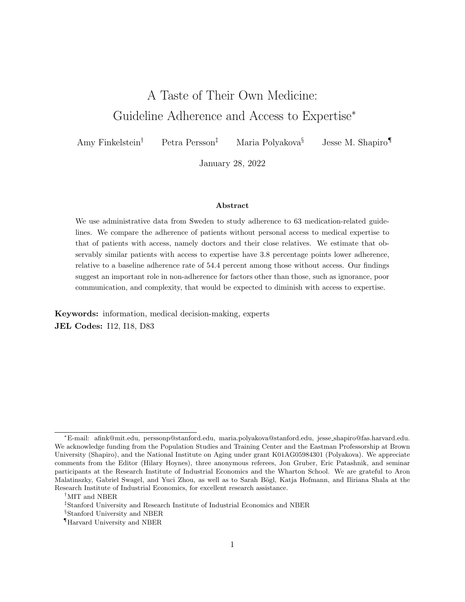| Guideline<br>(continued)                                                                   | Risk set                                                                                                                       |        | Adherence                                                                                                                                                                                                                                                                                                                             |       | Do vs.     | Strength<br>of |
|--------------------------------------------------------------------------------------------|--------------------------------------------------------------------------------------------------------------------------------|--------|---------------------------------------------------------------------------------------------------------------------------------------------------------------------------------------------------------------------------------------------------------------------------------------------------------------------------------------|-------|------------|----------------|
|                                                                                            | De nition                                                                                                                      | Share  | De nition                                                                                                                                                                                                                                                                                                                             | Share | don't take | evidence       |
| Take beta blockers & ACE in-<br>hibitors or ARBs after heart<br>failure diagnosis, elderly | Elderly with rst inpatient or out-<br>patient diagnosis for heart failure;<br>discharge in/after July 2005                     | .00078 | Prescription for beta blockers<br>and one of ACE inhibitors or<br>ARBs after discharge                                                                                                                                                                                                                                                | .77   | Do take    | Below 1A       |
| Take ACE inhibitors or ARBs<br>after heart failure diagnosis,<br>elderly                   | Elderly with rst inpatient or out-<br>patient diagnosis for heart failure;<br>discharge in/after July 2005                     | .00078 | Prescription for either drug<br>after discharge                                                                                                                                                                                                                                                                                       | .86   | Do take    | Below 1A       |
| Don't<br>take<br>antipsychotic<br>drugs, elderly                                           | Elderly (age above 75) with pre-<br>scription for antipsychotic drug at<br>age 74                                              | .00079 | No prescription for antipsy-<br>chotic drug in a given year                                                                                                                                                                                                                                                                           | .32   | Don't take | Ungraded       |
| anticoagulants<br>after<br>Take<br>A b diagnosis, elderly                                  | Elderly with rst inpatient or out-<br>patient diagnosis for A b; discharge<br>in/after July 2005                               | .001   | Prescription after discharge                                                                                                                                                                                                                                                                                                          | .86   | Do take    | 1A             |
| Don't take antiplatelet drugs<br>after A b diagnosis, elderly                              | Elderly with rst inpatient or out-<br>patient diagnosis for A b; discharge<br>in/after July 2005                               | .001   | after dis-<br>No prescription<br>charge                                                                                                                                                                                                                                                                                               | .66   | Don't take | Below 1A       |
| Avoid drugs with certain in-<br>teractions, elderly                                        | Elderly with claims for drugs of cer-<br>tain interactions (see the next col-<br>umn) in a quarter of the year they<br>turn 74 | .0011  | De ned at patient-year level;<br>individual has no claims for<br>these interaction of drugs<br>in the same quarter of a<br>given year: warfarine and as-<br>pirin; warfarine and NSAIDs;<br>potassium and potassium-<br>sparing diuretics; beta block-<br>ers and verapamil; diltiazem<br>and verapamil; ditalopram<br>and donepeztil | .66   | Don't take | Ungraded       |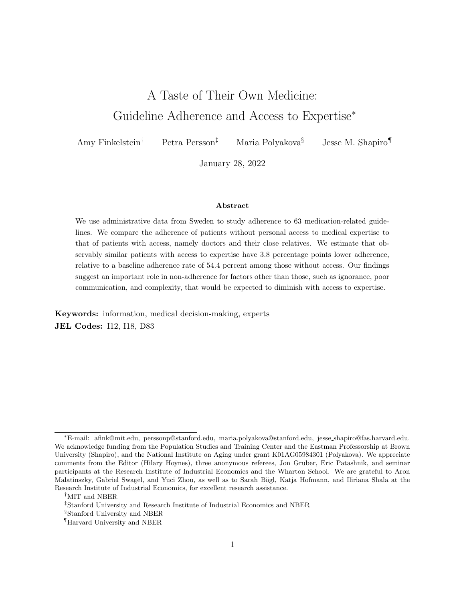| (continued)<br>Guideline                                                          | Risk set                                                                                                                     |       | Adherence                                                                                                                                                                                                                                                             |       | Do vs.     | Strength<br>of |
|-----------------------------------------------------------------------------------|------------------------------------------------------------------------------------------------------------------------------|-------|-----------------------------------------------------------------------------------------------------------------------------------------------------------------------------------------------------------------------------------------------------------------------|-------|------------|----------------|
|                                                                                   | De nition                                                                                                                    | Share | De nition                                                                                                                                                                                                                                                             | Share | don't take | evidence       |
| No polypharmacy w.r.t. psy-<br>chotropic drugs, elderly                           | Elderly with claims for three or<br>more di erent psychotropic drugs in<br>a quarter of the year they turn 74                | .0022 | De ned at patient-year level;<br>individual has claims for no<br>more than two psychotropic<br>drugs in the same quarter of<br>a given year                                                                                                                           | .4    | Don't take | Ungraded       |
| Take oxazepam conditional<br>on anxiolytics, elderly                              | Elderly-years with prescription for<br>anxiolytics, 2006-2017                                                                | .0065 | De ned at patient-year level;<br>all anxiolytics prescriptions in<br>a given year are for oxazepam                                                                                                                                                                    | .28   | Do take    | Ungraded       |
| polypharmacy<br>No<br>w.r.t.<br>drugs in the same therapeu-<br>tic group, elderly | Elderly with claims for two or more<br>drugs from the same therapeutic<br>ATC group in a quarter of the year<br>they turn 74 | .0075 | De ned at patient-year level;<br>individual has claims for no<br>more than one drug from the<br>same therapeutic ATC group<br>in the same quarter of a given<br>year                                                                                                  | .61   | Don't take | Ungraded       |
| No polypharmacy w.r.t. all<br>drugs, elderly                                      | Elderly with claims for 10 or more<br>di erent drugs in a quarter of the<br>year they turn 74                                | .0088 | De ned at patient-year level;<br>individual has claims for<br>no more than nine di erent<br>drugs in the same quarter of<br>a given year                                                                                                                              | .28   | Don't take | Ungraded       |
| Don't take NSAIDs, elderly                                                        | Elderly with prescription for NSAID<br>at age 74                                                                             | .011  | De ned at patient-year level;<br>no prescription for NSAID in<br>a given year                                                                                                                                                                                         | .69   | Don't take | Ungraded       |
| Don't take speci c drugs, el-<br>derly                                            | Elderly with prescription for drug<br>that should be avoided at age 74                                                       | .013  | De ned at patient-year level;<br>no prescription for diazepam,<br>nitraepam,<br>unitrazepam,<br>tramadol,<br>propiomazine,<br>codeine and paracetamol or<br>other non-opioid analgesics,<br>glibenclamide, or drugs with<br>anticholinergic e ects in a<br>given year | .49   | Don't take | Ungraded       |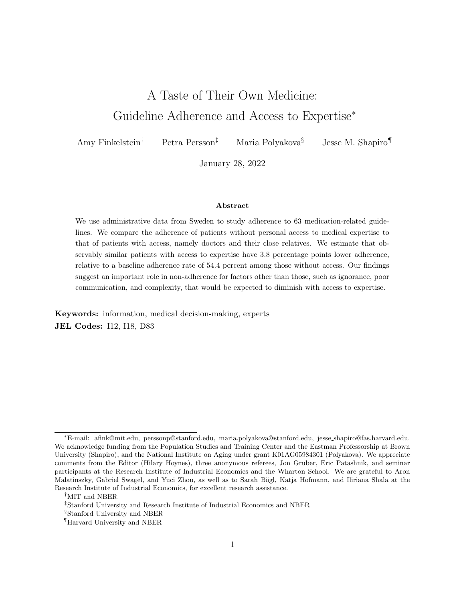| Guideline<br>(continued)                                                      | Risk set                                                                  |        | Adherence                                                                                                                                                                                                                               |       | Do vs.     | Strength<br>of |
|-------------------------------------------------------------------------------|---------------------------------------------------------------------------|--------|-----------------------------------------------------------------------------------------------------------------------------------------------------------------------------------------------------------------------------------------|-------|------------|----------------|
|                                                                               | De nition                                                                 | Share  | De nition                                                                                                                                                                                                                               | Share | don't take | evidence       |
| Take zopiclone conditional on<br>taking hypnotics and seda-<br>tives, elderly | Elderly-years with prescription for<br>hypnotics and sedatives, 2006-2017 | .013   | De ned at patient-year level;<br>all hypnotics and sedatives<br>prescriptions in a given year<br>are for zopiclone                                                                                                                      | .37   | Do take    | Below 1A       |
| Don't take hazardous sleep<br>medication, elderly                             | Elderly-years with prescription for<br>sleep medication, 2006-2017        | .016   | De ned at patient-year level;<br>no sleep medication prescrip-<br>tions in a given year for<br>long-acting<br>benzodiazepines<br>(diazepam, nitrazepam, u-<br>nitrazepam), propiomazine,<br>hydroxizine, alimemazine or<br>promethazine | .72   | Don't take | Ungraded       |
| Average                                                                       |                                                                           | .00078 |                                                                                                                                                                                                                                         | .53   |            |                |

 $\frac{8}{2}$ 

Note : UTI: urinary tract infection; RTI: respiratory tract infection; Ab: atrial brillation; TIA: transient ischemic attack; NSAID: nonsteroidal anti-in
ammatory drugs. Column \share" under \risk set" lists the share of Swedish population in each guideline's risk set in the reference year; column \share" under \adherence" lists the adherence rate for all those without access to expertise. We classify <sup>a</sup> guideline as \do take" if it recommends taking certain drug, and as \don't take" if it recommends against takingcertain drug. As rated by UpToDate, grade 1A guidelines (indicated in column \strength of evidence") are supported by high quality scienti c evidence, and the bene ts of compliance clearly outweighs risks and burdens, if there are any; <sup>a</sup> guideline is ungraded if it is not rated by UpToDate. The last row shows the average of age-specic guideline prevalence in the reference year across all ages and guidelines and lifecycle-prevalence weighted average of adherence among those without access to expertise. Prevalence is measured in 2017 for guidelines whose risk sets are not de ned by the Board. For regressions involving the guidelines listed in this table, the unit of analysis is

the patient unless speci ed as the patient-year in the \adherence" column.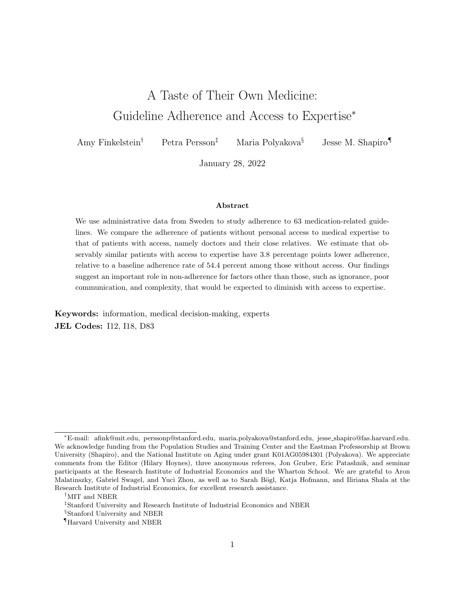| Guideline                                                                        | Risk set                                                                                                                                                        |         | Adherence                                                              |        |        | Do vs.     | Strength<br>of |
|----------------------------------------------------------------------------------|-----------------------------------------------------------------------------------------------------------------------------------------------------------------|---------|------------------------------------------------------------------------|--------|--------|------------|----------------|
|                                                                                  | De nition                                                                                                                                                       | Share   | De nition                                                              | Share  |        | don't take | evidence       |
| Take anticoagulants 0{1m af-<br>ter TIA & A b diagnoses                          | Individuals with rst inpatient di-<br>agnosis for TIA, with A b diagno-<br>sis; discharge in/after July 2005; age<br>$18+$                                      | .000093 | Prescription<br>within<br>month after discharge                        | $0{1}$ | $.5\,$ | Do take    | 1A             |
| Take anticoagulants 12{18m<br>after ischemic stroke & A b<br>diagnoses           | Individuals with rst inpatient main<br>diagnosis for ischemic stroke, with<br>A b diagnosis; discharge in/after<br>July 2005, in/before June 2016; age<br>18{79 | .00016  | Prescription within 12{18<br>months after discharge                    |        | .55    | Do take    | 1A             |
| Take anticoagulants 0{1m af-<br>ter ischemic stroke & A b di-<br>agnoses         | Individuals with rst inpatient diag-<br>nosis for ischemic stroke, with A b<br>diagnosis; discharge in/after July<br>2005; age 18+                              | .00019  | within<br>Prescription<br>month after discharge                        | 0(1)   | .55    | Do take    | 1A             |
| Take antipsychotics 12{18m<br>after schizophrenia diagnosis                      | Individuals with rst inpatient or<br>outpatient diagnosis for schizophre-<br>nia; discharge in/after July 2005,<br>in/before June 2016; age 18+                 | .00055  | Prescription within 12{18<br>months after discharge                    |        | .46    | Do take    | Below 1A       |
| Take antipsychotics 0{6m af-<br>ter schizophrenia diagnosis                      | Individuals with rst inpatient or<br>outpatient diagnosis for schizophre-<br>nia; discharge in/after July 2005;<br>age 18+                                      | .00056  | within<br>Prescription<br>months after discharge                       | 0(6)   | .69    | Do take    | 1A             |
| Take antiplatelet drugs 0{1m<br>after TIA w/o A b diagnoses                      | Individuals with rst inpatient di-<br>agnosis for TIA, without A b diag-<br>nosis; discharge in/after July 2005;<br>age $18+$                                   | .00069  | Prescription<br>within<br>month after discharge                        | 0(1)   | .71    | Do take    | 1A             |
| Take RAAS inhibitors or beta<br>blockers 12{18m after heart<br>failure diagnosis | Individuals with rst inpatient main<br>diagnosis for heart failure; discharge<br>in/after July 2005 and in/before<br>June 2016; age 20+                         | .00073  | Prescription for either drug<br>within 12{18 months after<br>discharge |        | .66    | Do take    | Below 1A       |

## Appendix Table 3: Guidelines Covering Medication Use following Specic Diagnoses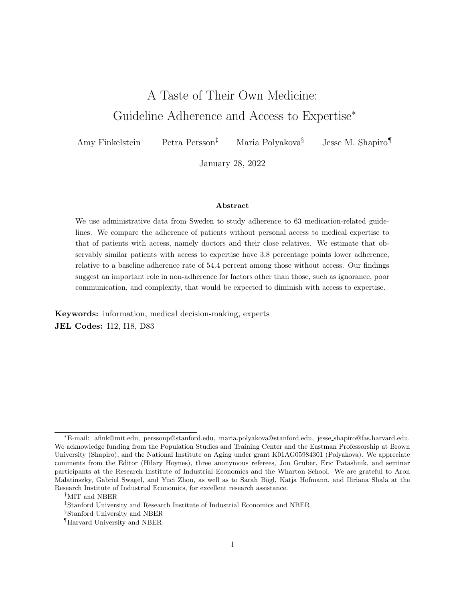| Guideline<br>(continued)                                                                                                                          | Risk set                                                                                                                                                                                                          |        |                                                                       | Adherence |        |        | Do vs.     | Strength<br>of |
|---------------------------------------------------------------------------------------------------------------------------------------------------|-------------------------------------------------------------------------------------------------------------------------------------------------------------------------------------------------------------------|--------|-----------------------------------------------------------------------|-----------|--------|--------|------------|----------------|
|                                                                                                                                                   | De nition                                                                                                                                                                                                         | Share  | De nition                                                             |           | Share  |        | don't take | evidence       |
| Take antihypertensives 0{1m<br>after TIA diagnosis                                                                                                | Individuals with rst inpatient di-<br>agnosis for TIA; discharge in/after<br>July 2005; age 18+                                                                                                                   | .00078 | Prescription<br>month after discharge                                 | within    | $0{1}$ | .32    | Do take    | Below 1A       |
| Take statins 0{1m after TIA<br>diagnosis                                                                                                          | Individuals with rst inpatient di-<br>agnosis for TIA; discharge in/after<br>July 2005; age 18+                                                                                                                   | .00078 | Prescription<br>month after discharge                                 | within    | 0(1)   | $.5\,$ | Do take    | 1A             |
| Take antiplatelet drugs 0{1m<br>after ischemic stroke w/o A b<br>diagnoses & no claim for anti-<br>coagulants within 30 days af-<br>ter discharge | Individuals with rst inpatient di-<br>agnosis for ischemic stroke, without<br>A b diagnosis and with no claim for<br>anticoagulants within 30 days after<br>discharge; discharge in/after July<br>2005; age $18+$ | .00086 | Prescription<br>month after discharge                                 | within    | 0(1)   | .74    | Do take    | 1A             |
| Take RAAS inhibitors & beta<br>blockers 0{6m after heart fail-<br>ure diagnosis                                                                   | Individuals with rst inpatient main<br>diagnosis for heart failure; discharge<br>in/after July 2005; age 20+                                                                                                      | .00088 | Prescription for both drugs<br>within 0{6 months after dis-<br>charge |           |        | .6     | Do take    | Below 1A       |
| Take ADP receptor blocker<br>0{1m after myocardial infarc-<br>tion diagnosis                                                                      | Individuals with rst inpatient diag-<br>nosis for myocardial infarction; dis-<br>charge in/after July 2005 and at age<br>18{79                                                                                    | .0011  | Prescription<br>month after discharge                                 | within    | 0(1)   | .78    | Do take    | 1A             |
| Take statins 0{1m after is-<br>chemic stroke diagnosis                                                                                            | Individuals with rst inpatient diag-<br>nosis for ischemic stroke; discharge<br>in/after July 2005; age $18+$                                                                                                     | .0011  | Prescription<br>month after discharge                                 | within    | 0(1)   | .56    | Do take    | 1A             |
| Take antihypertensives 0{1m<br>after acute stroke diagnosis                                                                                       | Individuals with rst inpatient di-<br>agnosis for TIA; discharge in/after<br>July 2005; age 18+                                                                                                                   | .0013  | Prescription<br>month after discharge                                 | within    | O(1)   | .44    | Do take    | Below 1A       |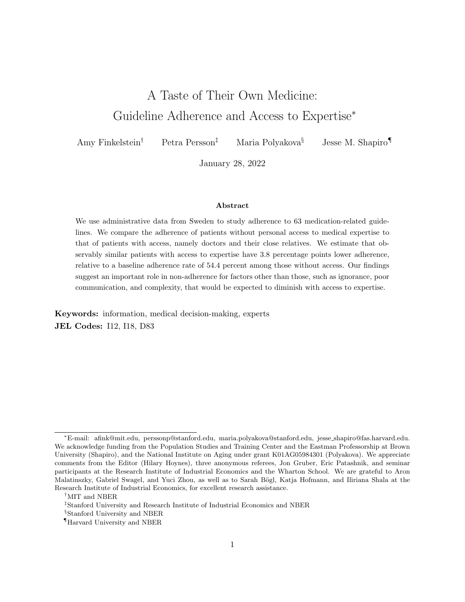| Guideline<br>(continued)                                                       | Risk set                                                                                                                                            |         | Adherence                                                              |            | Do vs.     | Strength<br>of |
|--------------------------------------------------------------------------------|-----------------------------------------------------------------------------------------------------------------------------------------------------|---------|------------------------------------------------------------------------|------------|------------|----------------|
|                                                                                | De nition                                                                                                                                           | Share   | De nition                                                              | Share      | don't take | evidence       |
| Take statins 12{18m after<br>myocardial infarction diagno-<br>sis              | Individuals with rst inpatient main<br>diagnosis for myocardial infarc-<br>tion; discharge in/after July 2005,<br>in/before June 2016; age 40{79}   | .0014   | Prescription within<br>12{18<br>months after discharge                 | .53        | Do take    | 1A             |
| Take statins 12{18m after<br>cerebral infarction diagnosis                     | Individuals with<br>rst inpatient<br>main diagnosis for cerebral infarc-<br>tion; discharge in/after July 2005,<br>in/before June 2016; age 18+     | .0014   | within 12{18<br>Prescription<br>months after discharge                 | .44        | Do take    | 1A             |
| Take osteoporosis drugs 0{<br>12m after fracture diagnosis                     | Individuals with rst inpatient diag-<br>nosis for fracture; discharge in/after<br>July 2005; age 50+                                                | .0022   | Prescription<br>within<br>0(12)<br>months after discharge              | $\cdot$ .2 | Do take    | Below 1A       |
| Take anticoagulants 0{6m af-<br>ter A b diagnosis with high<br>stroke risk     | Individuals with rst inpatient diag-<br>nosis for A b and stroke risk score<br>above two; discharge in/after July<br>2005; age 18+                  | .0026   | Prescription<br>within<br>0 <sub>6</sub><br>months after discharge     | .62        | Do take    | 1A             |
| Take RAAS inhibitors & beta<br>blockers 0{24m after heart<br>failure diagnosis | Individuals with rst inpatient or<br>outpatient diagnosis for heart fail-<br>ure; discharge in/after July 2005,<br>in/before December 2015; age 18+ | .0042   | Prescription for both drugs<br>within 0{24 months after dis-<br>charge | .78        | Do take    | Below 1A       |
| Continue with antidepressant<br>treatment                                      | Individuals with rst prescription<br>for antidepressant in/after January<br>2006; age 18+                                                           | .071    | Patient has another claim<br>within 60{150 days after the<br>rst claim | .54        | Do take    | Below 1A       |
| Average                                                                        |                                                                                                                                                     | .000084 |                                                                        | .55        |            |                |

Note: A b: atrial brillation; TIA: transient ischemic attack. We restrict the risk set to rst inpatient cases which we observe all drug prescriptions over the time period that we measure adherence|for example, for the guideline Statins after myocardial infarction diagnosis, 12-18m we restrict the sample to rst inpatient cases with discharge more<br>than 18 menths hefers Desember 2017, i.e. with dis than 18 months before December 2017, i.e., with discharge in/before June 2016. Column \share" under \risk set" lists the share of the Swedish population in each guideline'srisk set in the reference year; column \share" under \adherence" lists the adherence rate for those without access to expertise. We classify a guideline as \do take" if it recommends taking certain drug(s), and as \don't take" if it recommends against taking certain drug(s). The last row shows the average of age-speci c quideline prevalence in the reference year across all ages and guidelines and lifecycle-prevalence weighted average of adherence among those without access to expertise. For regressions involving theguidelines listed in this table, the unit of analysis is the patient.

85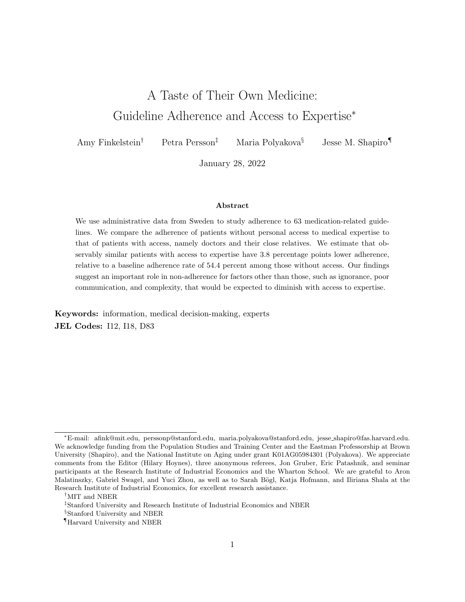| Guideline                                                                     | Share in risk set | Share adhering | Do vs. don't take | Strength<br>of evidence |
|-------------------------------------------------------------------------------|-------------------|----------------|-------------------|-------------------------|
| Don't take D-class antiepileptics, pregnancy                                  | .000032           | .66            | Don't take        | D-drug                  |
| Don't take D-class immunosuppressants, pregnancy                              | .000044           | .7             | Don't take        | D-drug                  |
| Don't take D-class macrolides, lincosamides or streptogramins, preg-<br>nancy | .000092           | .98            | Don't take        | D-drug                  |
| Don't take C-class psychostimulants, pregnancy                                | .000095           | .76            | Don't take        | C-drug                  |
| Don't take other D-drugs, pregnancy                                           | .00018            | .93            | Don't take        | D-drug                  |
| Don't take C-class hypothalamic hormones, pregnancy                           | .00033            | .85            | Don't take        | C-drug                  |
| Don't take C-class hypnotics and sedatives, pregnancy                         | .0004             | .87            | Don't take        | C-drug                  |
| Don't take D-class progestogens, pregnancy                                    | .00052            | .99            | Don't take        | D-drug                  |
| Don't take C-class corticosteroids (systemic use), pregnancy                  | .00056            | .89            | Don't take        | C-drug                  |
| Don't take D-class tetracyclines, pregnancy                                   | .00062            | .99            | Don't take        | D-drug                  |
| Don't take C-class antibiotics (other), pregnancy                             | .00067            | .86            | Don't take        | C-drug                  |
| Don't take C-class anxiolytics, pregnancy                                     | .00071            | .93            | Don't take        | C-drug                  |
| Don't take C-class corticosteroids, pregnancy                                 | .00075            | .88            | Don't take        | C-drug                  |
| Don't take C-class opioids, pregnancy                                         | .00099            | .85            | Don't take        | C-drug                  |
| Don't take C-class antidepressants, pregnancy                                 | .0011             | .68            | Don't take        | C-drug                  |
| Don't take other C-drugs, pregnancy                                           | .0013             | .72            | Don't take        | C-drug                  |
| Don't take C-class NSAIDs, pregnancy                                          | .0017             | .97            | Don't take        | C-drug                  |
| Average                                                                       | .00000593         | .86            |                   |                         |

## Appendix Table 4: Guidelines Covering Medication Use in Pregnancy

Note : NSAID: nonsteroidal anti-in
ammatory drugs. For each guideline, the risk set contains all pregnancies for which the mother has <sup>a</sup> prescription of the drug within <sup>24</sup> months before conception. The outcome variable is an indicator for not having the specied drug during the pregnancy. We classify <sup>a</sup> guideline as \do take" if it recommendstaking certain drug, and as \don't take" if it recommends against taking certain drug. The letter grade classication of <sup>a</sup> drug (as indicated in the \strength of evidence" column) is determined based on the strength of evidence about its harms to the fetus, with D capturing drugs that are likely the most harmful. Column \share in risk set"lists the share of the Swedish population in each guideline's risk set in the reference year; column \share adhering" lists the adherence rate for those without access to expertise. The last row shows the average of age-specic guideline prevalence in the reference year across all ages and guidelines and lifecycle-prevalence weighted average of adherence among those without access to expertise. For regressions involving the guidelines listed in this table, the unit of analysis is the pregnancy.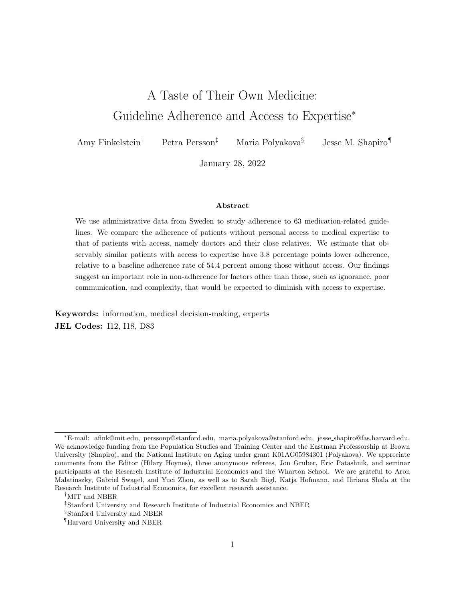Appendix Figure 1: Distribution of Adherence and Prevalence Rates Across Guidelines

(A) Prevalence Rate

(B) Adherence Rate among Individuals Without Access to Expertise

Note: Panel (A) shows the distribution of the prevalence rate (share of population in the risk set) across guidelines. Panel (B) shows the distribution of the adherence rate (share of those in the risk set adhering to the guideline) among those without access to expertise, across guidelines.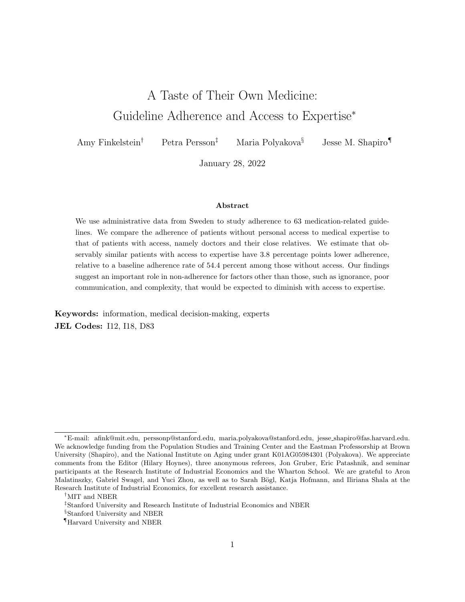Note: The graph illustrates the number of guidelines applicable to the average female and male at each age from 0 through 85. To construct this number, we compute the prevalence of each guideline (share of individuals in the risk set) in a reference year (2016 or 2017) by age and gender. The plot shows the sum of prevalence across guidelines for each age and gender.

Appendix Figure 3: Adherence and Access to Expertise, Averages by Demographic Group

Note: The plot shows the prevalence-weighted average coe cient on access to expertise from the regressions described in Figure 1. Spikes indicate upper and lower bounds of the 95% condence interval. We bootstrap the estimation with 50 replicates drawn at the patient level, and construct con dence intervals based on the bootstrap standard errors. The prevalence weights are the guideline- and age-specic empirical probabilities of being in the risk set in the reference year. Baseline includes all patients and guidelines. In Panel A, we estimate the regression described in Figure 1 separately by guideline and gender of patient and use gender-specic prevalence weights. In Panel B, we estimate the regression described in Figure 1 separately by guideline and age category of patient. We average the coecients for each age category (0-17 for children, 18-74 for non-elderly adults, and 75-85 for elderly individuals) across the guidelines applicable to them using age-specic prevalence weights.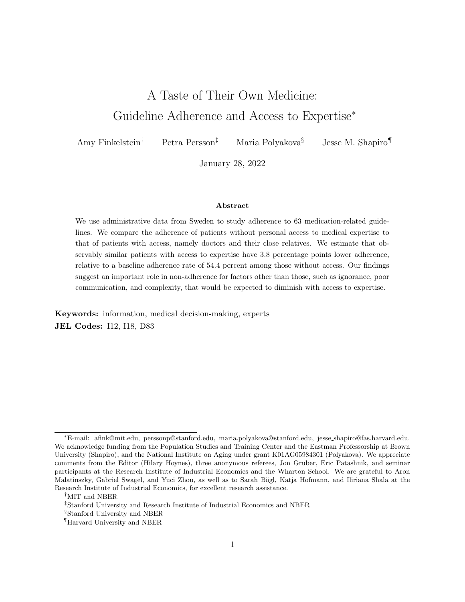### Appendix Figure 4: Adherence Gap and Adherence Rate Across Guidelines

Note: This graph plots, for all 63 guidelines, the estimated dierence in adherence between those with and without access to expertise against the share of those without access to expertise adhering to the respective guideline. The estimated dierence in adherence is computed as in Figure 1. Spikes indicate 95% condence intervals of the estimates, computed as in Figure 1. The rate of adherence among those without access to expertise is computed as in Appendix Tables 1-4. The red dashed line, the slope (and standard error) of which is noted in the top-right corner of the gure, is the line of best t based on a bivariate regression that weights each guideline equally. The color code represents eight equally-sized bins of guideline prevalence, with darker colors representing higher prevalence.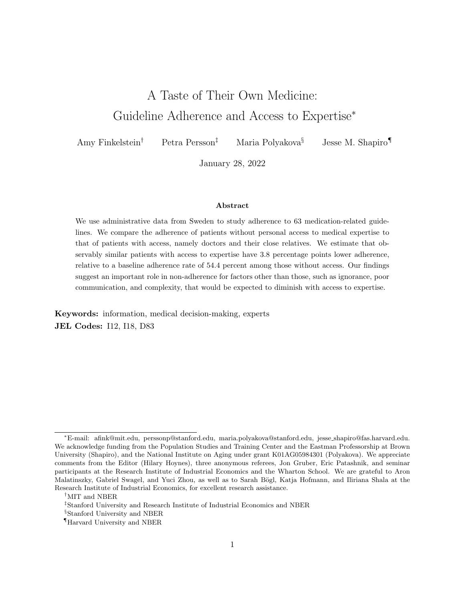Appendix Figure 5: Prevalence and Access to Expertise, by Guideline

(A) Risk Sets Based on Diagnoses

Had TIA & no Afib diagnoses, observe all prescriptions 0-1m post dis-Had Afib diagnos<sup>a</sup>is, elderly **and the community** Had TIA diagnosis, observe all prescriptions 0-1m post discharge Had ischemic stroke & no Afib diagnoses, observe all prescriptions O+1m pos Had ischemic stroke & Afib diagnoses, observe all prescriptions 12-18m post Had schizophrenia diagnosis, observe all prescriptions 0-6m post dise Had Afib diagnosis, observe all prescriptions 0-6m post dischar Had ischemic heart disease & heart failure diagnoses, elderl Had TIA & Afib diagnoses, observe all prescriptions 0-1m post discl Had dementia diagnôs s, elderly manusculous Had ischemic heart disease & Afib diagnoses, elderly Had ischemic stroke diagnosis, observe all prescriptions 0-1 mppost dis Had acute stroke diagnosis, observe all prescriptions 0-1 m post disc Had ischemic stroke & Afib diagnoses, observe all prescriptions 0-1m post Had myocardial infarction diagnosis, observe all prescriptions 0.1m post Average **Billiam Average** Had heart failure & Afib diagnoses, elderly Had cerebral infarction diagnosis, observe all prescriptions 12-40 m post Had fracture diagnosis, observe all prescriptions 0-12m pobst disch Had heart failure diagnosis, elderlyw Had heart failure diagnosis, observe all prescriptions 12-18m post dis Had myocardial infarction diagnosis, observe all prescriptions 12-18 m post Had heart failure diagnosis, observe all prescriptions 0-6mm post disent Had heart failure diagnosis, observe all prescriptions 0-24m post dis

Had schizophrenia diagnosis, observe all prescriptions 12-18m post dis

-.002-.001 0 .001

Difference in pr